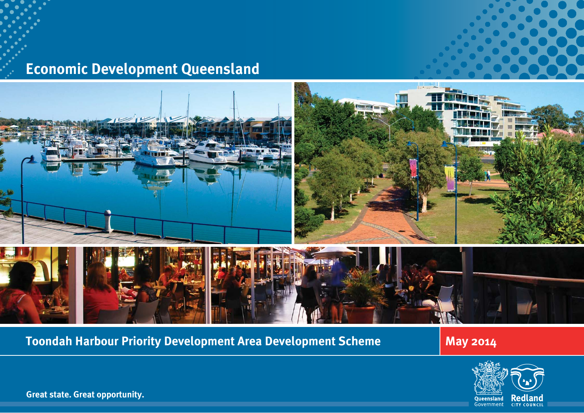# **Economic Development Queensland**



**Toondah Harbour Priority Development Area Development Scheme May 2014** 



**Great state. Great opportunity.**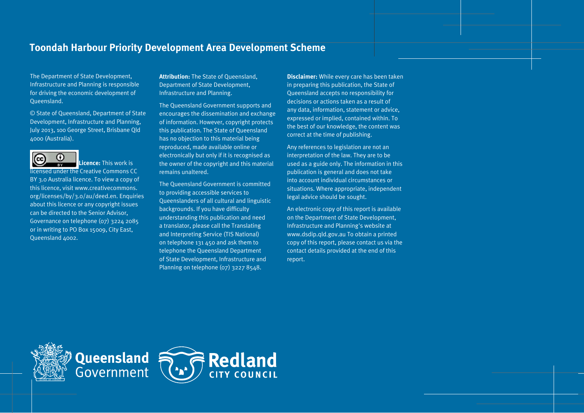# **Toondah Harbour Priority Development Area Development Scheme**

The Department of State Development, Infrastructure and Planning is responsible for driving the economic development of Queensland.

© State of Queensland, Department of State Development, Infrastructure and Planning, July 2013, 100 George Street, Brisbane Qld 4000 (Australia).

0  $(c)$ **Licence:** This work is **BY** licensed under the Creative Commons CC BY 3.0 Australia licence. To view a copy of this licence, visit www.creativecommons. org/licenses/by/3.0/au/deed.en. Enquiries about this licence or any copyright issues can be directed to the Senior Advisor, Governance on telephone (07) 3224 2085 or in writing to PO Box 15009, City East, Queensland 4002.

**Attribution:** The State of Queensland, Department of State Development, Infrastructure and Planning.

The Queensland Government supports and encourages the dissemination and exchange of information. However, copyright protects this publication. The State of Queensland has no objection to this material being reproduced, made available online or electronically but only if it is recognised as the owner of the copyright and this material remains unaltered.

The Queensland Government is committed to providing accessible services to Queenslanders of all cultural and linguistic backgrounds. If you have difficulty understanding this publication and need a translator, please call the Translating and Interpreting Service (TIS National) on telephone 131 450 and ask them to telephone the Queensland Department of State Development, Infrastructure and Planning on telephone (07) 3227 8548.

**Disclaimer:** While every care has been taken in preparing this publication, the State of Queensland accepts no responsibility for decisions or actions taken as a result of any data, information, statement or advice, expressed or implied, contained within. To the best of our knowledge, the content was correct at the time of publishing.

Any references to legislation are not an interpretation of the law. They are to be used as a guide only. The information in this publication is general and does not take into account individual circumstances or situations. Where appropriate, independent legal advice should be sought.

An electronic copy of this report is available on the Department of State Development, Infrastructure and Planning's website at www.dsdip.qld.gov.au To obtain a printed copy of this report, please contact us via the contact details provided at the end of this report.

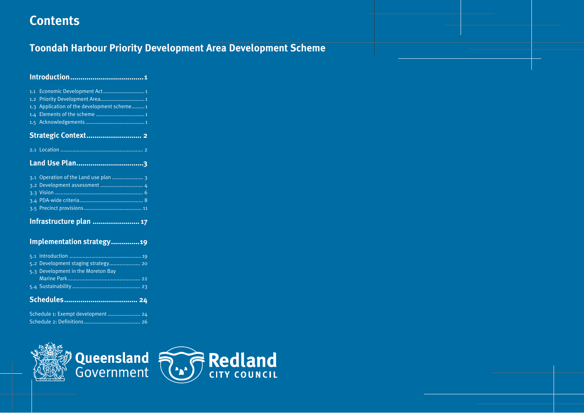# **Contents**

# **Toondah Harbour Priority Development Area Development Scheme**

| 1.1<br>1.2<br>Application of the development scheme1<br>1.3<br>1.4<br>1.5    |
|------------------------------------------------------------------------------|
| Strategic Context 2                                                          |
|                                                                              |
| Land Use Plan3                                                               |
| 3.2<br>3.5                                                                   |
| Infrastructure plan  17                                                      |
| Implementation strategy19                                                    |
| 5.2 Development staging strategy 20<br>Development in the Moreton Bay<br>5.3 |
|                                                                              |
| Schedule 1: Exempt development  24                                           |

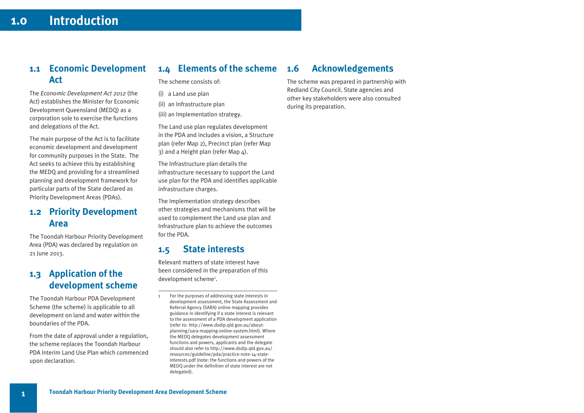#### **1.0Introduction**

# **1.1 Economic Development Act**

The *Economic Development Act 2012* (the Act) establishes the Minister for Economic Development Queensland (MEDQ) as a corporation sole to exercise the functions and delegations of the Act.

The main purpose of the Act is to facilitate economic development and development for community purposes in the State. The Act seeks to achieve this by establishing the MEDQ and providing for a streamlined planning and development framework for particular parts of the State declared as Priority Development Areas (PDAs).

# **1.2 Priority Development Area**

The Toondah Harbour Priority Development Area (PDA) was declared by regulation on 21 June 2013.

# **1.3 Application of the development scheme**

The Toondah Harbour PDA Development Scheme (the scheme) is applicable to all development on land and water within the boundaries of the PDA.

From the date of approval under a regulation, the scheme replaces the Toondah Harbour PDA Interim Land Use Plan which commenced upon declaration.

# **1.4 Elements of the scheme**

The scheme consists of:

- (i) a Land use plan
- (ii) an Infrastructure plan

(iii) an Implementation strategy.

The Land use plan regulates development in the PDA and includes a vision, a Structure plan (refer Map 2), Precinct plan (refer Map 3) and a Height plan (refer Map 4).

The Infrastructure plan details the infrastructure necessary to support the Land use plan for the PDA and identifies applicable infrastructure charges.

The Implementation strategy describes other strategies and mechanisms that will be used to complement the Land use plan and Infrastructure plan to achieve the outcomes for the PDA.

# **1.5 State interests**

Relevant matters of state interest have been considered in the preparation of this development scheme<sup>1</sup>.

1 For the purposes of addressing state interests in development assessment, the State Assessment and Referral Agency (SARA) online mapping provides guidance in identifying if a state interest is relevant to the assessment of a PDA development application (refer to: http://www.dsdip.qld.gov.au/aboutplanning/sara-mapping-online-system.html). Where the MEDQ delegates development assessment functions and nowers, applicants and the delegate should also refer to http://www.dsdip.qld.gov.au/ resources/guideline/pda/practice-note-14-stateinterests.pdf (note: the functions and powers of the MEDQ under the definition of state interest are not delegated).

# **1.6 Acknowledgements**

The scheme was prepared in partnership with Redland City Council. State agencies and other key stakeholders were also consulted during its preparation.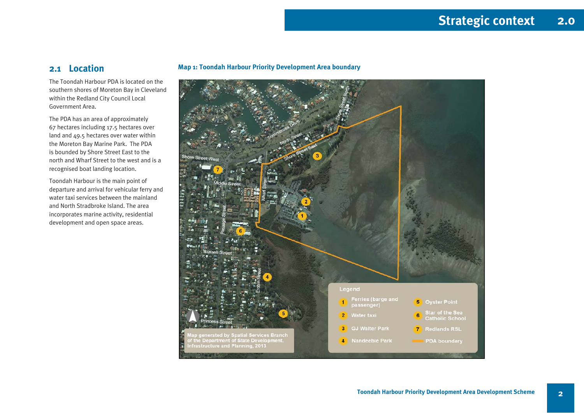# **2.1 Location**

The Toondah Harbour PDA is located on the southern shores of Moreton Bay in Cleveland within the Redland City Council Local Government Area.

The PDA has an area of approximately 67 hectares including 17.5 hectares over land and 49.5 hectares over water within the Moreton Bay Marine Park. The PDA is bounded by Shore Street East to the north and Wharf Street to the west and is a recognised boat landing location.

Toondah Harbour is the main point of departure and arrival for vehicular ferry and water taxi services between the mainland and North Stradbroke Island. The area incorporates marine activity, residential development and open space areas.

# **Map 1: Toondah Harbour Priority Development Area boundary**

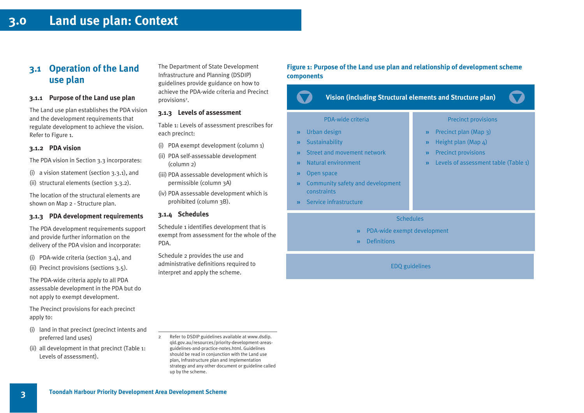# **3.1 Operation of the Land use plan**

# **3.1.1 Purpose of the Land use plan**

The Land use plan establishes the PDA vision and the development requirements that regulate development to achieve the vision. Refer to Figure 1.

# **3.1.2 PDA vision**

The PDA vision in Section 3.3 incorporates:

- (i) a vision statement (section 3.3.1), and
- (ii) structural elements (section 3.3.2).

The location of the structural elements are shown on Map 2 - Structure plan.

# **3.1.3 PDA development requirements**

The PDA development requirements support and provide further information on the delivery of the PDA vision and incorporate:

- (i) PDA-wide criteria (section 3.4), and
- (ii) Precinct provisions (sections 3.5).

The PDA-wide criteria apply to all PDA assessable development in the PDA but do not apply to exempt development.

The Precinct provisions for each precinct apply to:

- (i) land in that precinct (precinct intents and preferred land uses)
- (ii) all development in that precinct (Table 1: Levels of assessment).

The Department of State Development Infrastructure and Planning (DSDIP) guidelines provide guidance on how to achieve the PDA-wide criteria and Precinct provisions<sup>2</sup>.

# **3.1.3 Levels of assessment**

Table 1: Levels of assessment prescribes for each precinct:

- (i) PDA exempt development (column 1)
- (ii) PDA self-assessable development (column 2)
- (iii) PDA assessable development which is permissible (column 3A)
- (iv) PDA assessable development which is prohibited (column 3B).

# **3.1.4 Schedules**

Schedule 1 identifies development that is exempt from assessment for the whole of the PDA.

Schedule 2 provides the use and administrative definitions required to interpret and apply the scheme.

2 Refer to DSDIP guidelines available at www.dsdip. qld.gov.au/resources/priority-development-areasguidelines-and-practice-notes.html. Guidelines should be read in conjunction with the Land use plan, Infrastructure plan and Implementation strategy and any other document or guideline called up by the scheme.

# **Figure 1: Purpose of the Land use plan and relationship of development scheme components**

**Vision (including Structural elements and Structure plan)** PDA-wide criteria**»** Urban design **»** Sustainability **È** Street and movement network **È** Natural environment **»** Open space **È** Community safety and development constraintsPrecinct provisions **E** Precinct plan (Map 3) **È**Height plan (Map  $4$ ) **È** Precinct provisions **»** Levels of assessment table (Table 1)

**»** Service infrastructure

# Schedules

- **È** PDA-wide exempt development
- **»** Definitions

EDQ guidelines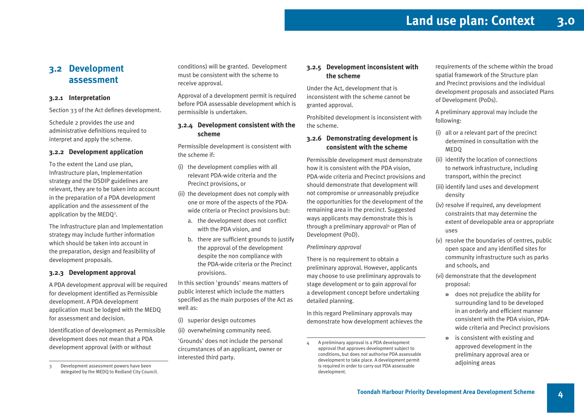# **Land use plan: Context 3.0**

# **3.2 Development assessment**

# **3.2.1 Interpretation**

Section 33 of the Act defines development.

Schedule 2 provides the use and administrative definitions required to interpret and apply the scheme.

# **3.2.2 Development application**

To the extent the Land use plan, Infrastructure plan, Implementation strategy and the DSDIP guidelines are relevant, they are to be taken into account in the preparation of a PDA development application and the assessment of the application by the MEDQ3 .

The Infrastructure plan and Implementation strategy may include further information which should be taken into account in the preparation, design and feasibility of development proposals.

# **3.2.3 Development approval**

A PDA development approval will be required for development identified as Permissible development. A PDA development application must be lodged with the MEDQ for assessment and decision.

Identification of development as Permissible development does not mean that a PDA development approval (with or without

conditions) will be granted. Development must be consistent with the scheme to receive approval.

Approval of a development permit is required before PDA assessable development which is permissible is undertaken.

# **3.2.4 Development consistent with the scheme**

Permissible development is consistent with the scheme if:

- (i) the development complies with all relevant PDA-wide criteria and the Precinct provisions, or
- (ii) the development does not comply with one or more of the aspects of the PDAwide criteria or Precinct provisions but:
	- a. the development does not conflict with the PDA vision, and
	- b. there are sufficient grounds to justify the approval of the development despite the non compliance with the PDA-wide criteria or the Precinct provisions.

In this section 'grounds' means matters of public interest which include the matters specified as the main purposes of the Act as well as:

(i) superior design outcomes

(ii) overwhelming community need.

'Grounds' does not include the personal circumstances of an applicant, owner or interested third party.

# **3.2.5 Development inconsistent with the scheme**

Under the Act, development that is inconsistent with the scheme cannot be granted approval.

Prohibited development is inconsistent with the scheme.

# **3.2.6 Demonstrating development is consistent with the scheme**

Permissible development must demonstrate how it is consistent with the PDA vision, PDA-wide criteria and Precinct provisions and should demonstrate that development will not compromise or unreasonably prejudice the opportunities for the development of the remaining area in the precinct. Suggested ways applicants may demonstrate this is through a preliminary approval<sup>4</sup> or Plan of Development (PoD).

*Preliminary approval*

There is no requirement to obtain a preliminary approval. However, applicants may choose to use preliminary approvals to stage development or to gain approval for a development concept before undertaking detailed planning.

In this regard Preliminary approvals may demonstrate how development achieves the

requirements of the scheme within the broad spatial framework of the Structure plan and Precinct provisions and the individual development proposals and associated Plans of Development (PoDs).

A preliminary approval may include the following:

- (i) all or a relevant part of the precinct determined in consultation with the MEDQ
- (ii) identify the location of connections to network infrastructure, including transport, within the precinct
- (iii) identify land uses and development density
- (iv) resolve if required, any development constraints that may determine the extent of developable area or appropriate uses
- (v) resolve the boundaries of centres, public open space and any identified sites for community infrastructure such as parks and schools, and

(vi) demonstrate that the development proposal:

- **È** does not prejudice the ability for surrounding land to be developed in an orderly and efficient manner consistent with the PDA vision, PDAwide criteria and Precinct provisions
- **»** is consistent with existing and approved development in the preliminary approval area or adjoining areas

**4**

<sup>3</sup> Development assessment powers have been delegated by the MEDQ to Redland City Council.

<sup>4</sup> A preliminary approval is a PDA development approval that approves development subject to conditions, but does not authorise PDA assessable development to take place. A development permit is required in order to carry out PDA assessable development.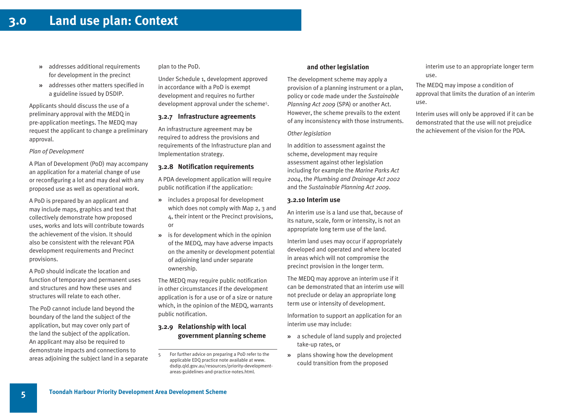- **È** addresses additional requirements for development in the precinct
- **È** addresses other matters specified in a guideline issued by DSDIP.

Applicants should discuss the use of a preliminary approval with the MEDQ in pre-application meetings. The MEDQ may request the applicant to change a preliminary approval.

# *Plan of Development*

A Plan of Development (PoD) may accompany an application for a material change of use or reconfiguring a lot and may deal with any proposed use as well as operational work.

A PoD is prepared by an applicant and may include maps, graphics and text that collectively demonstrate how proposed uses, works and lots will contribute towards the achievement of the vision. It should also be consistent with the relevant PDA development requirements and Precinct provisions.

A PoD should indicate the location and function of temporary and permanent uses and structures and how these uses and structures will relate to each other.

The PoD cannot include land beyond the boundary of the land the subject of the application, but may cover only part of the land the subject of the application. An applicant may also be required to demonstrate impacts and connections to areas adjoining the subject land in a separate plan to the PoD.

Under Schedule 1, development approved in accordance with a PoD is exempt development and requires no further development approval under the scheme5.

# **3.2.7 Infrastructure agreements**

An infrastructure agreement may be required to address the provisions and requirements of the Infrastructure plan and Implementation strategy.

## **3.2.8 Notification requirements**

A PDA development application will require public notification if the application:

- **È** includes a proposal for development which does not comply with Map 2, 3 and 4, their intent or the Precinct provisions, or
- **È** is for development which in the opinion of the MEDQ, may have adverse impacts on the amenity or development potential of adjoining land under separate ownership.

The MEDQ may require public notification in other circumstances if the development application is for a use or of a size or nature which, in the opinion of the MEDQ, warrants public notification.

# **3.2.9 Relationship with local government planning scheme**

5 For further advice on preparing a PoD refer to the applicable EDQ practice note available at www. dsdip.qld.gov.au/resources/priority-developmentareas-guidelines-and-practice-notes.html.

# **and other legislation**

The development scheme may apply a provision of a planning instrument or a plan, policy or code made under the *Sustainable Planning Act 2009* (SPA) or another Act. However, the scheme prevails to the extent of any inconsistency with those instruments.

#### *Other legislation*

In addition to assessment against the scheme, development may require assessment against other legislation including for example the *Marine Parks Act 2004*, the *Plumbing and Drainage Act 2002* and the *Sustainable Planning Act 2009*.

## **3.2.10 Interim use**

An interim use is a land use that, because of its nature, scale, form or intensity, is not an appropriate long term use of the land.

Interim land uses may occur if appropriately developed and operated and where located in areas which will not compromise the precinct provision in the longer term.

The MEDQ may approve an interim use if it can be demonstrated that an interim use will not preclude or delay an appropriate long term use or intensity of development.

Information to support an application for an interim use may include:

- **È** a schedule of land supply and projected take-up rates, or
- **È** plans showing how the development could transition from the proposed

interim use to an appropriate longer term use.

The MEDQ may impose a condition of approval that limits the duration of an interim use.

Interim uses will only be approved if it can be demonstrated that the use will not prejudice the achievement of the vision for the PDA.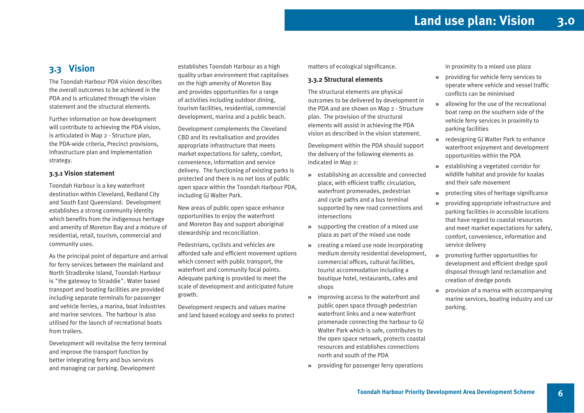# **3.3 Vision**

The Toondah Harbour PDA vision describes the overall outcomes to be achieved in the PDA and is articulated through the vision statement and the structural elements.

Further information on how development will contribute to achieving the PDA vision, is articulated in Map 2 - Structure plan, the PDA-wide criteria, Precinct provisions, Infrastructure plan and Implementation strategy.

# **3.3.1 Vision statement**

Toondah Harbour is a key waterfront destination within Cleveland, Redland City and South East Queensland. Development establishes a strong community identity which benefits from the indigenous heritage and amenity of Moreton Bay and a mixture of residential, retail, tourism, commercial and community uses.

As the principal point of departure and arrival for ferry services between the mainland and North Stradbroke Island, Toondah Harbour is "the gateway to Straddie". Water based transport and boating facilities are provided including separate terminals for passenger and vehicle ferries, a marina, boat industries and marine services. The harbour is also utilised for the launch of recreational boats from trailers.

Development will revitalise the ferry terminal and improve the transport function by better integrating ferry and bus services and managing car parking. Development

establishes Toondah Harbour as a high quality urban environment that capitalises on the high amenity of Moreton Bay and provides opportunities for a range of activities including outdoor dining, tourism facilities, residential, commercial development, marina and a public beach.

Development complements the Cleveland CBD and its revitalisation and provides appropriate infrastructure that meets market expectations for safety, comfort, convenience, information and service delivery. The functioning of existing parks is protected and there is no net loss of public open space within the Toondah Harbour PDA, including GJ Walter Park.

New areas of public open space enhance opportunities to enjoy the waterfront and Moreton Bay and support aboriginal stewardship and reconciliation.

Pedestrians, cyclists and vehicles are afforded safe and efficient movement options which connect with public transport, the waterfront and community focal points. Adequate parking is provided to meet the scale of development and anticipated future growth.

Development respects and values marine and land based ecology and seeks to protect matters of ecological significance.

# **3.3.2 Structural elements**

The structural elements are physical outcomes to be delivered by development in the PDA and are shown on Map 2 - Structure plan. The provision of the structural elements will assist in achieving the PDA vision as described in the vision statement.

Development within the PDA should support the delivery of the following elements as indicated in Map 2:

- **È** establishing an accessible and connected place, with efficient traffic circulation, waterfront promenades, pedestrian and cycle paths and a bus terminal supported by new road connections and intersections
- **»** supporting the creation of a mixed use plaza as part of the mixed use node
- **È** creating a mixed use node incorporating medium density residential development, commercial offices, cultural facilities, tourist accommodation including a boutique hotel, restaurants, cafes and shops
- $\lambda$  improving access to the waterfront and public open space through pedestrian waterfront links and a new waterfront promenade connecting the harbour to GJ Walter Park which is safe, contributes to the open space netowrk, protects coastal resources and establishes connections north and south of the PDA
- **È** providing for passenger ferry operations

in proximity to a mixed use plaza

- **È** providing for vehicle ferry services to operate where vehicle and vessel traffic conflicts can be minimised
- **»** allowing for the use of the recreational boat ramp on the southern side of the vehicle ferry services in proximity to parking facilities
- **È** redesigning GJ Walter Park to enhance waterfront enjoyment and development opportunities within the PDA
- **È** establishing a vegetated corridor for wildlife habitat and provide for koalas and their safe movement
- **È** protecting sites of heritage significance
- **È** providing appropriate infrastructure and parking facilities in accessible locations that have regard to coastal resources and meet market expectations for safety, comfort, convenience, information and service delivery
- **È** promoting further opportunities for development and efficient dredge spoil disposal through land reclamation and creation of dredge ponds
- **È** provision of a marina with accompanying marine services, boating industry and car parking.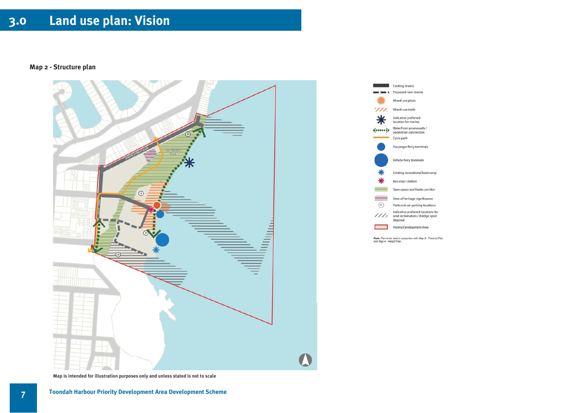# **3.0 Land use plan: Vision**

**Map 2 - Structure plan**





**Map is intended for illustration purposes only and unless stated is not to scale**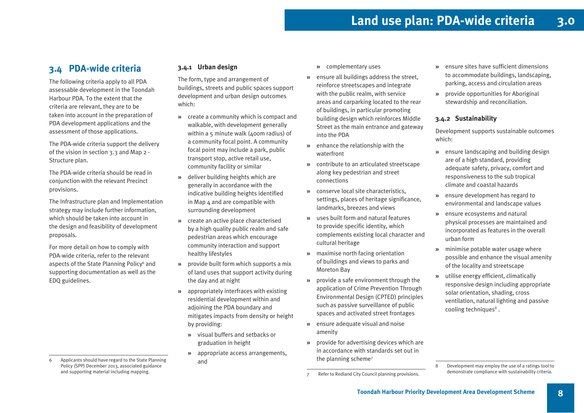# **3.4 PDA-wide criteria**

The following criteria apply to all PDA assessable development in the Toondah Harbour PDA. To the extent that the criteria are relevant, they are to be taken into account in the preparation of PDA development applications and the assessment of those applications.

The PDA-wide criteria support the delivery of the vision in section 3.3 and Map 2 - Structure plan.

The PDA-wide criteria should be read in conjunction with the relevant Precinct provisions.

The Infrastructure plan and Implementation strategy may include further information, which should be taken into account in the design and feasibility of development proposals.

For more detail on how to comply with PDA-wide criteria, refer to the relevant aspects of the State Planning Policy<sup>6</sup> and supporting documentation as well as the EDQ guidelines.

6 Applicants should have regard to the State Planning Policy (SPP) December 2013, associated guidance and supporting material including mapping.

# **3.4.1 Urban design**

The form, type and arrangement of buildings, streets and public spaces support development and urban design outcomes which:

- **È** create a community which is compact and walkable, with development generally within a 5 minute walk (400m radius) of a community focal point. A community focal point may include a park, public transport stop, active retail use, community facility or similar
- **»** deliver building heights which are generally in accordance with the indicative building heights identified in Map 4 and are compatible with surrounding development
- **È** create an active place characterised by a high quality public realm and safe pedestrian areas which encourage community interaction and support healthy lifestyles
- **È** provide built form which supports a mix of land uses that support activity during the day and at night
- **È** appropriately interfraces with existing residential development within and adjoining the PDA boundary and mitigates impacts from density or height by providing:
	- **È** visual buffers and setbacks or graduation in height
	- **È** appropriate access arrangements, and
- **È** complementary uses
- $\lambda$  ensure all buildings address the street, reinforce streetscapes and integrate with the public realm, with service areas and carparking located to the rear of buildings, in particular promoting building design which reinforces Middle Street as the main entrance and gateway into the PDA
- **»** enhance the relationship with the waterfront
- $\lambda$  contribute to an articulated streetscape along key pedestrian and street connections
- $\lambda$  conserve local site characteristics, settings, places of heritage significance, landmarks, breezes and views
- **È** uses built form and natural features to provide specific identity, which complements existing local character and cultural heritage
- **È** maximise north facing orientation of buildings and views to parks and Moreton Bay
- $\lambda$  provide a safe environment through the application of Crime Prevention Through Environmental Design (CPTED) principles such as passive surveillance of public spaces and activated street frontages
- $\lambda$  ensure adequate visual and noise amenity
- **È** provide for advertising devices which are in accordance with standards set out in the planning scheme7
- **È** ensure sites have sufficient dimensions to accommodate buildings, landscaping, parking, access and circulation areas
- **È** provide opportunities for Aboriginal stewardship and reconciliation.

# **3.4.2 Sustainability**

Development supports sustainable outcomes which:

- **»** ensure landscaping and building design are of a high standard, providing adequate safety, privacy, comfort and responsiveness to the sub tropical climate and coastal hazards
- **»** ensure development has regard to environmental and landscape values
- **»** ensure ecosystems and natural physical processes are maintained and incorporated as features in the overall urban form
- **»** minimise potable water usage where possible and enhance the visual amenity of the locality and streetscape
- **È** utilise energy efficient, climatically responsive design including appropriate solar orientation, shading, cross ventilation, natural lighting and passive cooling techniques<sup>8</sup>.

Refer to Redland City Council planning provisions.

<sup>8</sup> Development may employ the use of a ratings tool to demonstrate compliance with sustainability criteria.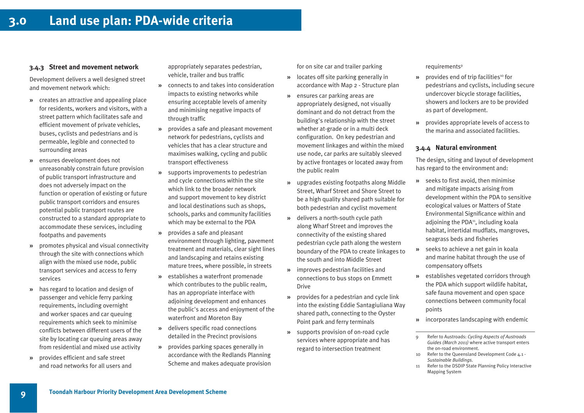## **3.4.3 Street and movement network**

Development delivers a well designed street and movement network which:

- **È** creates an attractive and appealing place for residents, workers and visitors, with a street pattern which facilitates safe and efficient movement of private vehicles, buses, cyclists and pedestrians and is permeable, legible and connected to surrounding areas
- **È** ensures development does not unreasonably constrain future provision of public transport infrastructure and does not adversely impact on the function or operation of existing or future public transport corridors and ensures potential public transport routes are constructed to a standard appropriate to accommodate these services, including footpaths and pavements
- **È** promotes physical and visual connectivity through the site with connections which align with the mixed use node, public transport services and access to ferry services
- **È** has regard to location and design of passenger and vehicle ferry parking requirements, including overnight and worker spaces and car queuing requirements which seek to minimise conflicts between different users of the site by locating car queuing areas away from residential and mixed use activity
- $\lambda$  provides efficient and safe street and road networks for all users and

appropriately separates pedestrian, vehicle, trailer and bus traffic

- **È** connects to and takes into consideration impacts to existing networks while ensuring acceptable levels of amenity and minimising negative impacts of through traffic
- **È** provides a safe and pleasant movement network for pedestrians, cyclists and vehicles that has a clear structure and maximises walking, cycling and public transport effectiveness
- **È** supports improvements to pedestrian and cycle connections within the site which link to the broader network and support movement to key district and local destinations such as shops, schools, parks and community facilities which may be external to the PDA
- **È** provides a safe and pleasant environment through lighting, pavement treatment and materials, clear sight lines and landscaping and retains existing mature trees, where possible, in streets
- **È** establishes a waterfront promenade which contributes to the public realm, has an appropriate interface with adjoining development and enhances the public's access and enjoyment of the waterfront and Moreton Bay
- **È** delivers specific road connections detailed in the Precinct provisions
- **È** provides parking spaces generally in accordance with the Redlands Planning Scheme and makes adequate provision

for on site car and trailer parking

- **È** locates off site parking generally in accordance with Map 2 - Structure plan
- **È** ensures car parking areas are appropriately designed, not visually dominant and do not detract from the building's relationship with the street whether at-grade or in a multi deck configuration. On key pedestrian and movement linkages and within the mixed use node, car parks are suitably sleeved by active frontages or located away from the public realm
- **È** upgrades existing footpaths along Middle Street, Wharf Street and Shore Street to be a high quality shared path suitable for both pedestrian and cyclist movement
- **»** delivers a north-south cycle path along Wharf Street and improves the connectivity of the existing shared pedestrian cycle path along the western boundary of the PDA to create linkages to the south and into Middle Street
- **È** improves pedestrian facilities and connections to bus stops on Emmett Drive
- **È** provides for a pedestrian and cycle link into the existing Eddie Santagiuliana Way shared path, connecting to the Oyster Point park and ferry terminals
- **È** supports provision of on-road cycle services where appropriate and has regard to intersection treatment

#### requirements9

- $\lambda$ provides end of trip facilities<sup>10</sup> for pedestrians and cyclists, including secure undercover bicycle storage facilities, showers and lockers are to be provided as part of development.
- **È** provides appropriate levels of access to the marina and associated facilities.

#### **3.4.4 Natural environment**

The design, siting and layout of development has regard to the environment and:

- $\lambda$  seeks to first avoid, then minimise and mitigate impacts arising from development within the PDA to sensitive ecological values or Matters of State Environmental Significance within and adjoining the PDA<sup>11</sup>, including koala habitat, intertidal mudflats, mangroves, seagrass beds and fisheries
- $\lambda$  seeks to achieve a net gain in koala and marine habitat through the use of compensatory offsets
- $\lambda$  establishes vegetated corridors through the PDA which support wildlife habitat, safe fauna movement and open space connections between community focal points
- **È** incorporates landscaping with endemic
- 9 Refer to Austroads: *Cycling Aspects of Austroads Guides (March 2011)* where active transport enters the on-road environment.
- 10 Refer to the Queensland Development Code 4.1 *Sustainable Buildings*.
- 11 Refer to the DSDIP State Planning Policy Interactive Mapping System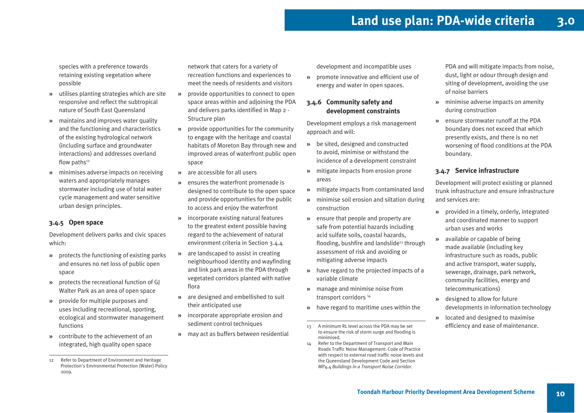species with a preference towards retaining existing vegetation where possible

- $\lambda$  utilises planting strategies which are site responsive and reflect the subtropical nature of South East Queensland
- **È** maintains and improves water quality and the functioning and characteristics of the existing hydrological network (including surface and groundwater interactions) and addresses overland flow paths $12$
- **È** minimises adverse impacts on receiving waters and appropriately manages stormwater including use of total water cycle management and water sensitive urban design principles.

# **3.4.5 Open space**

Development delivers parks and civic spaces which:

- **È** protects the functioning of existing parks and ensures no net loss of public open space
- **È** protects the recreational function of GJ Walter Park as an area of open space
- **È** provide for multiple purposes and uses including recreational, sporting, ecological and stormwater management functions
- $\lambda$  contribute to the achievement of an integrated, high quality open space

network that caters for a variety of recreation functions and experiences to meet the needs of residents and visitors

- $\lambda$  provide opportunities to connect to open space areas within and adjoining the PDA and delivers parks identified in Map 2 - Structure plan
- **È** provide opportunities for the community to engage with the heritage and coastal habitats of Moreton Bay through new and improved areas of waterfront public open space
- **»** are accessible for all users
- **È** ensures the waterfront promenade is designed to contribute to the open space and provide opportunities for the public to access and enjoy the waterfront
- **È** incorporate existing natural features to the greatest extent possible having regard to the achievement of natural environment criteria in Section 3.4.4
- **»** are landscaped to assist in creating neighbourhood identity and wayfinding and link park areas in the PDA through vegetated corridors planted with native flora
- **È** are designed and embellished to suit their anticipated use
- **È** incorporate appropriate erosion and sediment control techniques
- **È** may act as buffers between residential

development and incompatible uses

**È** promote innovative and efficient use of energy and water in open spaces.

# **3.4.6 Community safety and development constraints**

Development employs a risk management approach and will:

- **»** be sited, designed and constructed to avoid, minimise or withstand the incidence of a development constraint
- **È** mitigate impacts from erosion prone areas
- **È**mitigate impacts from contaminated land
- $\lambda$  minimise soil erosion and siltation during construction
- **È** ensure that people and property are safe from potential hazards including acid sulfate soils, coastal hazards, flooding, bushfire and landslide<sup>13</sup> through assessment of risk and avoiding or mitigating adverse impacts
- $\lambda$  have regard to the projected impacts of a variable climate
- **È** manage and minimise noise from transport corridors<sup>14</sup>
- **È**have regard to maritime uses within the
- 13 A minimum RL level across the PDA may be set to ensure the risk of storm surge and flooding is minimised.
- 14 Refer to the Department of Transport and Main Roads Traffic Noise Management: Code of Practice with respect to external road traffic noise levels and the Queensland Development Code and Section MP4.4 *Buildings in a Transport Noise Corridor*.

PDA and will mitigate impacts from noise, dust, light or odour through design and siting of development, avoiding the use of noise barriers

- **È** minimise adverse impacts on amenity during construction
- **»** ensure stormwater runoff at the PDA boundary does not exceed that which presently exists, and there is no net worsening of flood conditions at the PDA boundary.

# **3.4.7 Service infrastructure**

Development will protect existing or planned trunk infrastructure and ensure infrastructure and services are:

- **È** provided in a timely, orderly, integrated and coordinated manner to support urban uses and works
- **»** available or capable of being made available (including key infrastructure such as roads, public and active transport, water supply, sewerage, drainage, park network, community facilities, energy and telecommunications)
- **»** designed to allow for future developments in information technology
- **»** located and designed to maximise efficiency and ease of maintenance.

<sup>12</sup> Refer to Department of Environment and Heritage Protection's Environmental Protection (Water) Policy 2009.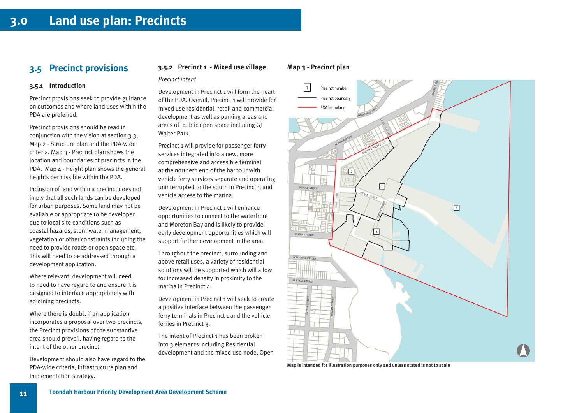# **3.5 Precinct provisions**

# **3.5.1 Introduction**

Precinct provisions seek to provide guidance on outcomes and where land uses within the PDA are preferred.

Precinct provisions should be read in conjunction with the vision at section 3.3, Map 2 - Structure plan and the PDA-wide criteria. Map 3 - Precinct plan shows the location and boundaries of precincts in the PDA. Map 4 - Height plan shows the general heights permissible within the PDA.

Inclusion of land within a precinct does not imply that all such lands can be developed for urban purposes. Some land may not be available or appropriate to be developed due to local site conditions such as coastal hazards, stormwater management, vegetation or other constraints including the need to provide roads or open space etc. This will need to be addressed through a development application.

Where relevant, development will need to need to have regard to and ensure it is designed to interface appropriately with adjoining precincts.

Where there is doubt, if an application incorporates a proposal over two precincts, the Precinct provisions of the substantive area should prevail, having regard to the intent of the other precinct.

Development should also have regard to the PDA-wide criteria, Infrastructure plan and Implementation strategy.

# **3.5.2 Precinct 1 - Mixed use village Map 3 - Precinct plan**

#### *Precinct intent*

Development in Precinct 1 will form the heart of the PDA. Overall, Precinct 1 will provide for mixed use residential, retail and commercial development as well as parking areas and areas of public open space including GJ Walter Park.

Precinct 1 will provide for passenger ferry services integrated into a new, more comprehensive and accessible terminal at the northern end of the harbour with vehicle ferry services separate and operating uninterrupted to the south in Precinct 3 and vehicle access to the marina.

Development in Precinct 1 will enhance opportunities to connect to the waterfront and Moreton Bay and is likely to provide early development opportunities which will support further development in the area.

Throughout the precinct, surrounding and above retail uses, a variety of residential solutions will be supported which will allow for increased density in proximity to the marina in Precinct 4.

Development in Precinct 1 will seek to create a positive interface between the passenger ferry terminals in Precinct 1 and the vehicle ferries in Precinct 3.

The intent of Precinct 1 has been broken into 3 elements including Residential development and the mixed use node, Open



**Map is intended for illustration purposes only and unless stated is not to scale**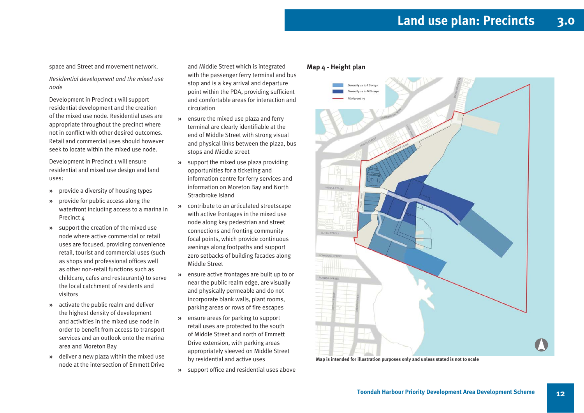space and Street and movement network.

*Residential development and the mixed use node*

Development in Precinct 1 will support residential development and the creation of the mixed use node. Residential uses are appropriate throughout the precinct where not in conflict with other desired outcomes. Retail and commercial uses should however seek to locate within the mixed use node.

Development in Precinct 1 will ensure residential and mixed use design and land uses:

- $\lambda$ provide a diversity of housing types
- **È** provide for public access along the waterfront including access to a marina in Precinct 4
- **È** support the creation of the mixed use node where active commercial or retail uses are focused, providing convenience retail, tourist and commercial uses (such as shops and professional offices well as other non-retail functions such as childcare, cafes and restaurants) to serve the local catchment of residents and visitors
- **È** activate the public realm and deliver the highest density of development and activities in the mixed use node in order to benefit from access to transport services and an outlook onto the marina area and Moreton Bay
- **È** deliver a new plaza within the mixed use node at the intersection of Emmett Drive

and Middle Street which is integrated **Map 4 - Height plan** with the passenger ferry terminal and bus stop and is a key arrival and departure point within the PDA, providing sufficient and comfortable areas for interaction and circulation

- **»** ensure the mixed use plaza and ferry terminal are clearly identifiable at the end of Middle Street with strong visual and physical links between the plaza, bus stops and Middle street
- **»** support the mixed use plaza providing opportunities for a ticketing and information centre for ferry services and information on Moreton Bay and North Stradbroke Island
- **È** contribute to an articulated streetscape with active frontages in the mixed use node along key pedestrian and street connections and fronting community focal points, which provide continuous awnings along footpaths and support zero setbacks of building facades along Middle Street
- **È** ensure active frontages are built up to or near the public realm edge, are visually and physically permeable and do not incorporate blank walls, plant rooms, parking areas or rows of fire escapes
- **È** ensure areas for parking to support retail uses are protected to the south of Middle Street and north of Emmett Drive extension, with parking areas appropriately sleeved on Middle Street by residential and active uses
- **È** support office and residential uses above



**Map is intended for illustration purposes only and unless stated is not to scale**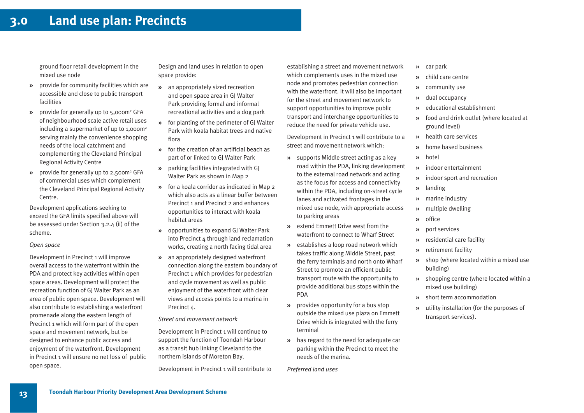ground floor retail development in the mixed use node

- **È** provide for community facilities which are accessible and close to public transport facilities
- **È** provide for generally up to 5,000m2 GFA of neighbourhood scale active retail uses including a supermarket of up to 1,000m<sup>2</sup> serving mainly the convenience shopping needs of the local catchment and complementing the Cleveland Principal Regional Activity Centre
- $\lambda$ provide for generally up to 2,500m<sup>2</sup> GFA of commercial uses which complement the Cleveland Principal Regional Activity Centre.

Development applications seeking to exceed the GFA limits specified above will be assessed under Section 3.2.4 (ii) of the scheme.

#### *Open space*

Development in Precinct 1 will improve overall access to the waterfront within the PDA and protect key activities within open space areas. Development will protect the recreation function of GJ Walter Park as an area of public open space. Development will also contribute to establishing a waterfront promenade along the eastern length of Precinct 1 which will form part of the open space and movement network, but be designed to enhance public access and enjoyment of the waterfront. Development in Precinct 1 will ensure no net loss of public open space.

Design and land uses in relation to open space provide:

- **»** an appropriately sized recreation and open space area in GJ Walter Park providing formal and informal recreational activities and a dog park
- **È** for planting of the perimeter of GJ Walter Park with koala habitat trees and native flora
- **E** for the creation of an artificial beach as part of or linked to GJ Walter Park
- **È** parking facilities integrated with GJ Walter Park as shown in Map 2
- **È** for a koala corridor as indicated in Map 2 which also acts as a linear buffer between Precinct 1 and Precinct 2 and enhances opportunities to interact with koala habitat areas
- **È** opportunities to expand GJ Walter Park into Precinct 4 through land reclamation works, creating a north facing tidal area
- **È** an appropriately designed waterfront connection along the eastern boundary of Precinct 1 which provides for pedestrian and cycle movement as well as public enjoyment of the waterfront with clear views and access points to a marina in Precinct 4.

*Street and movement network*

Development in Precinct 1 will continue to support the function of Toondah Harbour as a transit hub linking Cleveland to the northern islands of Moreton Bay.

Development in Precinct 1 will contribute to

establishing a street and movement network which complements uses in the mixed use node and promotes pedestrian connection with the waterfront. It will also be important for the street and movement network to support opportunities to improve public transport and interchange opportunities to reduce the need for private vehicle use.

Development in Precinct 1 will contribute to a street and movement network which:

- **È** supports Middle street acting as a key road within the PDA, linking development to the external road network and acting as the focus for access and connectivity within the PDA, including on-street cycle lanes and activated frontages in the mixed use node, with appropriate access to parking areas
- **È** extend Emmett Drive west from the waterfront to connect to Wharf Street
- **È** establishes a loop road network which takes traffic along Middle Street, past the ferry terminals and north onto Wharf Street to promote an efficient public transport route with the opportunity to provide additional bus stops within the PDA
- **È** provides opportunity for a bus stop outside the mixed use plaza on Emmett Drive which is integrated with the ferry terminal
- **È** has regard to the need for adequate car parking within the Precinct to meet the needs of the marina.

*Preferred land uses*

- **»** car park
- $\lambda$ child care centre
- $\lambda$ community use
- $\lambda$ dual occupancy
- $\lambda$ educational establishment
- **È** food and drink outlet (where located at ground level)
- **È**health care services
- **È**home based business
- **»** hotel
- **È** indoor entertainment
- $\lambda$ indoor sport and recreation
- $\lambda$ landing
- $\lambda$ marine industry
- $\lambda$ multiple dwelling
- $\lambda$ office
- $\lambda$ port services
- **È** residential care facility
- $\lambda$ retirement facility
- **»** shop (where located within a mixed use building)
- **È** shopping centre (where located within a mixed use building)
- **È**short term accommodation
- $\lambda$  utility installation (for the purposes of transport services).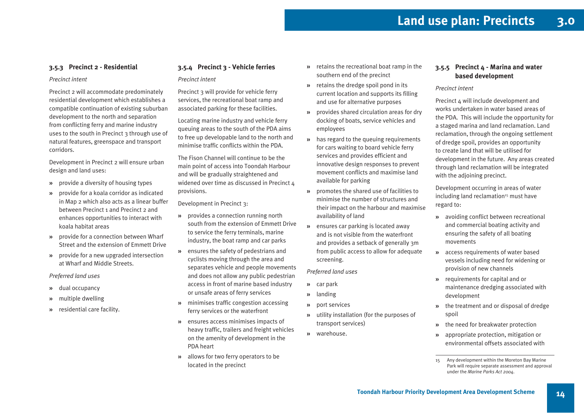# **3.5.3 Precinct 2 - Residential**

# *Precinct intent*

Precinct 2 will accommodate predominately residential development which establishes a compatible continuation of existing suburban development to the north and separation from conflicting ferry and marine industry uses to the south in Precinct 3 through use of natural features, greenspace and transport corridors.

Development in Precinct 2 will ensure urban design and land uses:

- **È** provide a diversity of housing types
- **È** provide for a koala corridor as indicated in Map 2 which also acts as a linear buffer between Precinct 1 and Precinct 2 and enhances opportunities to interact with koala habitat areas
- **È** provide for a connection between Wharf Street and the extension of Emmett Drive
- **È** provide for a new upgraded intersection at Wharf and Middle Streets.

# *Preferred land uses*

- **È** dual occupancy
- **È**multiple dwelling
- $\lambda$ residential care facility.

# **3.5.4 Precinct 3 - Vehicle ferries**

# *Precinct intent*

Precinct 3 will provide for vehicle ferry services, the recreational boat ramp and associated parking for these facilities.

Locating marine industry and vehicle ferry queuing areas to the south of the PDA aims to free up developable land to the north and minimise traffic conflicts within the PDA.

The Fison Channel will continue to be the main point of access into Toondah Harbour and will be gradually straightened and widened over time as discussed in Precinct  $\Delta$ provisions.

Development in Precinct 3:

- **È** provides a connection running north south from the extension of Emmett Drive to service the ferry terminals, marine industry, the boat ramp and car parks
- **È** ensures the safety of pedestrians and cyclists moving through the area and separates vehicle and people movements and does not allow any public pedestrian access in front of marine based industry or unsafe areas of ferry services
- **È** minimises traffic congestion accessing ferry services or the waterfront
- **È** ensures access minimises impacts of heavy traffic, trailers and freight vehicles on the amenity of development in the PDA heart
- **»** allows for two ferry operators to be located in the precinct
- **È** retains the recreational boat ramp in the southern end of the precinct
- **È** retains the dredge spoil pond in its current location and supports its filling and use for alternative purposes
- **È** provides shared circulation areas for dry docking of boats, service vehicles and employees
- **»** has regard to the queuing requirements for cars waiting to board vehicle ferry services and provides efficient and innovative design responses to prevent movement conflicts and maximise land available for parking
- **È** promotes the shared use of facilities to minimise the number of structures and their impact on the harbour and maximise availability of land
- **È** ensures car parking is located away and is not visible from the waterfront and provides a setback of generally 3m from public access to allow for adequate screening.

# *Preferred land uses*

- **»** car park
- **È** landing
- $\lambda$ port services
- **È** utility installation (for the purposes of transport services)
- $\lambda$ warehouse.

# **3.5.5 Precinct 4 - Marina and water based development**

# *Precinct intent*

Precinct 4 will include development and works undertaken in water based areas of the PDA. This will include the opportunity for a staged marina and land reclamation. Land reclamation, through the ongoing settlement of dredge spoil, provides an opportunity to create land that will be utilised for development in the future. Any areas created through land reclamation will be integrated with the adjoining precinct.

Development occurring in areas of water including land reclamation<sup>15</sup> must have regard to:

- **»** avoiding conflict between recreational and commercial boating activity and ensuring the safety of all boating movements
- **È** access requirements of water based vessels including need for widening or provision of new channels
- **È** requirements for capital and or maintenance dredging associated with development
- **E** the treatment and or disposal of dredge spoil
- **»** the need for breakwater protection
- **È** appropriate protection, mitigation or environmental offsets associated with

Any development within the Moreton Bay Marine Park will require separate assessment and approval under the *Marine Parks Act 2004.*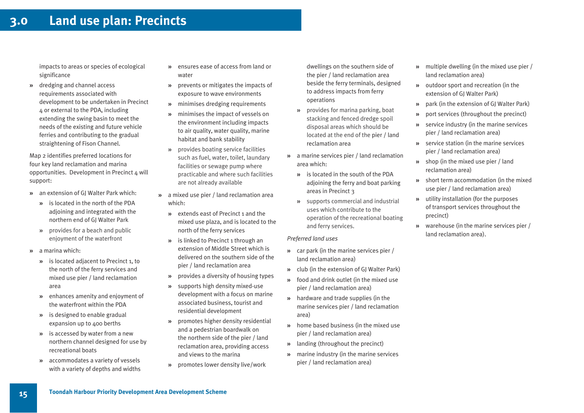impacts to areas or species of ecological significance

**»** dredging and channel access requirements associated with development to be undertaken in Precinct 4 or external to the PDA, including extending the swing basin to meet the needs of the existing and future vehicle ferries and contributing to the gradual straightening of Fison Channel.

Map 2 identifies preferred locations for four key land reclamation and marina opportunities. Development in Precinct 4 will support:

- **»** an extension of GJ Walter Park which:
	- **È** is located in the north of the PDA adjoining and integrated with the northern end of GJ Walter Park
	- **»** provides for a beach and public enjoyment of the waterfront
- **»** a marina which:
	- **È** is located adjacent to Precinct 1, to the north of the ferry services and mixed use pier / land reclamation area
	- **È** enhances amenity and enjoyment of the waterfront within the PDA
	- **»** is designed to enable gradual expansion up to 400 berths
	- **»** is accessed by water from a new northern channel designed for use by recreational boats
	- **È** accommodates a variety of vessels with a variety of depths and widths
- **È** ensures ease of access from land or water
- $\lambda$  prevents or mitigates the impacts of exposure to wave environments
- **È** minimises dredging requirements
- $\lambda$  minimises the impact of vessels on the environment including impacts to air quality, water quality, marine habitat and bank stability
- $\lambda$  provides boating service facilities such as fuel, water, toilet, laundary facilities or sewage pump where practicable and where such facilities are not already available
- **È** a mixed use pier / land reclamation area which:
	- **E** extends east of Precinct 1 and the mixed use plaza, and is located to the north of the ferry services
	- $\lambda$  is linked to Precinct 1 through an extension of Middle Street which is delivered on the southern side of the pier / land reclamation area
	- $\lambda$ provides a diversity of housing types
	- $\rightarrow$  supports high density mixed-use development with a focus on marine associated business, tourist and residential development
	- $\lambda$  promotes higher density residential and a pedestrian boardwalk on the northern side of the pier / land reclamation area, providing access and views to the marina
	- **È** promotes lower density live/work

dwellings on the southern side of the pier / land reclamation area beside the ferry terminals, designed to address impacts from ferry operations

- $\lambda$  provides for marina parking, boat stacking and fenced dredge spoil disposal areas which should be located at the end of the pier / land reclamation area
- **È** a marine services pier / land reclamation area which:
	- **E** is located in the south of the PDA adjoining the ferry and boat parking areas in Precinct 3
	- **È** supports commercial and industrial uses which contribute to the operation of the recreational boating and ferry services.

#### *Preferred land uses*

- **È** car park (in the marine services pier / land reclamation area)
- **È** club (in the extension of GJ Walter Park)
- **È** food and drink outlet (in the mixed use pier / land reclamation area)
- **È** hardware and trade supplies (in the marine services pier / land reclamation area)
- **È** home based business (in the mixed use pier / land reclamation area)
- **È** landing (throughout the precinct)
- **È** marine industry (in the marine services pier / land reclamation area)
- **È** multiple dwelling (in the mixed use pier / land reclamation area)
- **È** outdoor sport and recreation (in the extension of GJ Walter Park)
- $\lambda$ park (in the extension of GJ Walter Park)
- $\lambda$ port services (throughout the precinct)
- **»** service industry (in the marine services pier / land reclamation area)
- **»** service station (in the marine services pier / land reclamation area)
- **»** shop (in the mixed use pier / land reclamation area)
- **»** short term accommodation (in the mixed use pier / land reclamation area)
- **È** utility installation (for the purposes of transport services throughout the precinct)
- $\lambda$  warehouse (in the marine services pier / land reclamation area).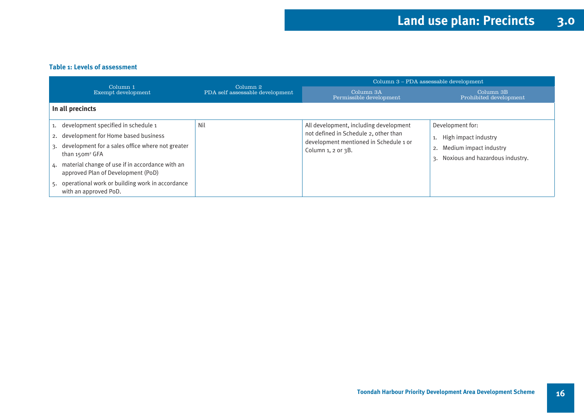## **Table 1: Levels of assessment**

| Column <sub>1</sub>                                                                                                                                                                                                                                                                                                                 | Column 3 - PDA assessable development                  |                                                                                                                                                 |                                                                                                                |
|-------------------------------------------------------------------------------------------------------------------------------------------------------------------------------------------------------------------------------------------------------------------------------------------------------------------------------------|--------------------------------------------------------|-------------------------------------------------------------------------------------------------------------------------------------------------|----------------------------------------------------------------------------------------------------------------|
| Exempt development                                                                                                                                                                                                                                                                                                                  | Column <sub>2</sub><br>PDA self assessable development | Column 3A<br>Permissible development                                                                                                            | Column 3B<br>Prohibited development                                                                            |
| In all precincts                                                                                                                                                                                                                                                                                                                    |                                                        |                                                                                                                                                 |                                                                                                                |
| development specified in schedule 1<br>2. development for Home based business<br>3. development for a sales office where not greater<br>than $150m²$ GFA<br>4. material change of use if in accordance with an<br>approved Plan of Development (PoD)<br>5. operational work or building work in accordance<br>with an approved PoD. | Nil                                                    | All development, including development<br>not defined in Schedule 2, other than<br>development mentioned in Schedule 1 or<br>Column 1, 2 or 3B. | Development for:<br>1. High impact industry<br>2. Medium impact industry<br>3. Noxious and hazardous industry. |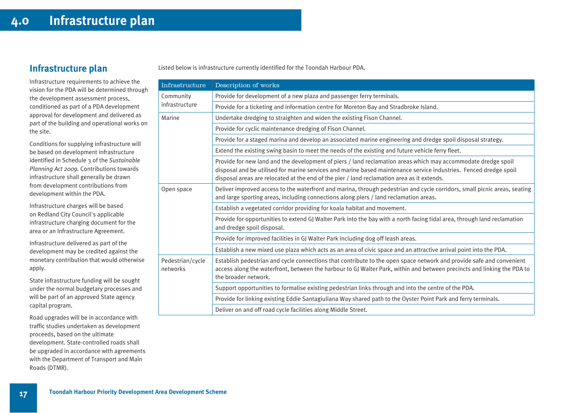# **4.0 Infrastructure plan**

# **Infrastructure plan**

Infrastructure requirements to achieve the vision for the PDA will be determined through the development assessment process, conditioned as part of a PDA development approval for development and delivered as part of the building and operational works on the site.

Conditions for supplying infrastructure will be based on development infrastructure identified in Schedule 3 of the *Sustainable Planning Act 2009.* Contributions towards infrastructure shall generally be drawn from development contributions from development within the PDA.

Infrastructure charges will be based on Redland City Council's applicable infrastructure charging document for the area or an Infrastructure Agreement.

Infrastructure delivered as part of the development may be credited against the monetary contribution that would otherwise apply.

State infrastructure funding will be sought under the normal budgetary processes and will be part of an approved State agency capital program.

Road upgrades will be in accordance with traffic studies undertaken as development proceeds, based on the ultimate development. State-controlled roads shall be upgraded in accordance with agreements with the Department of Transport and Main Roads (DTMR).

Listed below is infrastructure currently identified for the Toondah Harbour PDA.

| Infrastructure               | Description of works                                                                                                                                                                                                                                                                                                             |
|------------------------------|----------------------------------------------------------------------------------------------------------------------------------------------------------------------------------------------------------------------------------------------------------------------------------------------------------------------------------|
| Community<br>infrastructure  | Provide for development of a new plaza and passenger ferry terminals.                                                                                                                                                                                                                                                            |
|                              | Provide for a ticketing and information centre for Moreton Bay and Stradbroke Island.                                                                                                                                                                                                                                            |
| Marine                       | Undertake dredging to straighten and widen the existing Fison Channel.                                                                                                                                                                                                                                                           |
|                              | Provide for cyclic maintenance dredging of Fison Channel.                                                                                                                                                                                                                                                                        |
|                              | Provide for a staged marina and develop an associated marine engineering and dredge spoil disposal strategy.                                                                                                                                                                                                                     |
|                              | Extend the existing swing basin to meet the needs of the existing and future vehicle ferry fleet.                                                                                                                                                                                                                                |
|                              | Provide for new land and the development of piers / land reclamation areas which may accommodate dredge spoil<br>disposal and be utilised for marine services and marine based maintenance service industries. Fenced dredge spoil<br>disposal areas are relocated at the end of the pier / land reclamation area as it extends. |
| Open space                   | Deliver improved access to the waterfront and marina, through pedestrian and cycle corridors, small picnic areas, seating<br>and large sporting areas, including connections along piers / land reclamation areas.                                                                                                               |
|                              | Establish a vegetated corridor providing for koala habitat and movement.                                                                                                                                                                                                                                                         |
|                              | Provide for opportunities to extend GJ Walter Park into the bay with a north facing tidal area, through land reclamation<br>and dredge spoil disposal.                                                                                                                                                                           |
|                              | Provide for improved facilities in GJ Walter Park including dog off leash areas.                                                                                                                                                                                                                                                 |
|                              | Establish a new mixed use plaza which acts as an area of civic space and an attractive arrival point into the PDA.                                                                                                                                                                                                               |
| Pedestrian/cycle<br>networks | Establish pedestrian and cycle connections that contribute to the open space network and provide safe and convenient<br>access along the waterfront, between the harbour to GJ Walter Park, within and between precincts and linking the PDA to<br>the broader network.                                                          |
|                              | Support opportunities to formalise existing pedestrian links through and into the centre of the PDA.                                                                                                                                                                                                                             |
|                              | Provide for linking existing Eddie Santagiuliana Way shared path to the Oyster Point Park and ferry terminals.                                                                                                                                                                                                                   |
|                              | Deliver on and off road cycle facilities along Middle Street.                                                                                                                                                                                                                                                                    |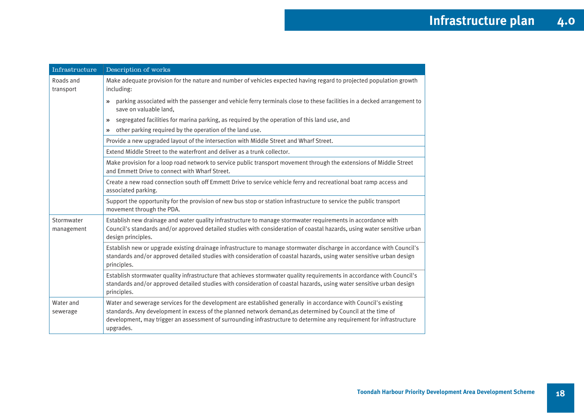| Infrastructure           | Description of works                                                                                                                                                                                                                                                                                                                                                |
|--------------------------|---------------------------------------------------------------------------------------------------------------------------------------------------------------------------------------------------------------------------------------------------------------------------------------------------------------------------------------------------------------------|
| Roads and<br>transport   | Make adequate provision for the nature and number of vehicles expected having regard to projected population growth<br>including:                                                                                                                                                                                                                                   |
|                          | parking associated with the passenger and vehicle ferry terminals close to these facilities in a decked arrangement to<br>$\lambda$<br>save on valuable land,                                                                                                                                                                                                       |
|                          | segregated facilities for marina parking, as required by the operation of this land use, and<br>$\lambda$                                                                                                                                                                                                                                                           |
|                          | other parking required by the operation of the land use.<br>$\rightarrow$                                                                                                                                                                                                                                                                                           |
|                          | Provide a new upgraded layout of the intersection with Middle Street and Wharf Street.                                                                                                                                                                                                                                                                              |
|                          | Extend Middle Street to the waterfront and deliver as a trunk collector.                                                                                                                                                                                                                                                                                            |
|                          | Make provision for a loop road network to service public transport movement through the extensions of Middle Street<br>and Emmett Drive to connect with Wharf Street.                                                                                                                                                                                               |
|                          | Create a new road connection south off Emmett Drive to service vehicle ferry and recreational boat ramp access and<br>associated parking.                                                                                                                                                                                                                           |
|                          | Support the opportunity for the provision of new bus stop or station infrastructure to service the public transport<br>movement through the PDA.                                                                                                                                                                                                                    |
| Stormwater<br>management | Establish new drainage and water quality infrastructure to manage stormwater requirements in accordance with<br>Council's standards and/or approved detailed studies with consideration of coastal hazards, using water sensitive urban<br>design principles.                                                                                                       |
|                          | Establish new or upgrade existing drainage infrastructure to manage stormwater discharge in accordance with Council's<br>standards and/or approved detailed studies with consideration of coastal hazards, using water sensitive urban design<br>principles.                                                                                                        |
|                          | Establish stormwater quality infrastructure that achieves stormwater quality requirements in accordance with Council's<br>standards and/or approved detailed studies with consideration of coastal hazards, using water sensitive urban design<br>principles.                                                                                                       |
| Water and<br>sewerage    | Water and sewerage services for the development are established generally in accordance with Council's existing<br>standards. Any development in excess of the planned network demand, as determined by Council at the time of<br>development, may trigger an assessment of surrounding infrastructure to determine any requirement for infrastructure<br>upgrades. |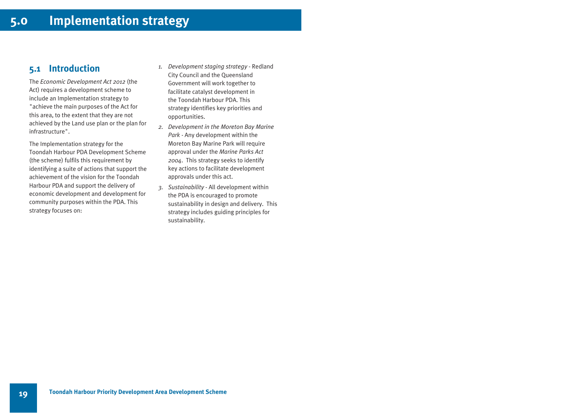# **5.1 Introduction**

The *Economic Development Act 2012* (the Act) requires a development scheme to include an Implementation strategy to "achieve the main purposes of the Act for this area, to the extent that they are not achieved by the Land use plan or the plan for infrastructure".

The Implementation strategy for the Toondah Harbour PDA Development Scheme (the scheme) fulfils this requirement by identifying a suite of actions that support the achievement of the vision for the Toondah Harbour PDA and support the delivery of economic development and development for community purposes within the PDA. This strategy focuses on:

- *1. Development staging strategy* Redland City Council and the Queensland Government will work together to facilitate catalyst development in the Toondah Harbour PDA. This strategy identifies key priorities and opportunities.
- *2. Development in the Moreton Bay Marine Park* - Any development within the Moreton Bay Marine Park will require approval under the *Marine Parks Act 2004*. This strategy seeks to identify key actions to facilitate development approvals under this act.
- *3. Sustainability* All development within the PDA is encouraged to promote sustainability in design and delivery. This strategy includes guiding principles for sustainability.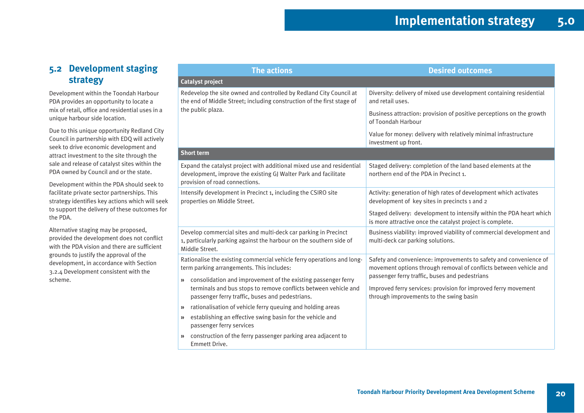# **5.2 Development staging strategy**

Development within the Toondah Harbour PDA provides an opportunity to locate a mix of retail, office and residential uses in a unique harbour side location.

Due to this unique opportunity Redland City Council in partnership with EDQ will actively seek to drive economic development and attract investment to the site through the sale and release of catalyst sites within the PDA owned by Council and or the state.

Development within the PDA should seek to facilitate private sector partnerships. This strategy identifies key actions which will seek to support the delivery of these outcomes for the PDA.

Alternative staging may be proposed, provided the development does not conflict with the PDA vision and there are sufficient grounds to justify the approval of the development, in accordance with Section 3.2.4 Development consistent with the scheme.

| <b>The actions</b>                                                                                                                                                                               | <b>Desired outcomes</b>                                                                                                                                     |
|--------------------------------------------------------------------------------------------------------------------------------------------------------------------------------------------------|-------------------------------------------------------------------------------------------------------------------------------------------------------------|
| <b>Catalyst project</b>                                                                                                                                                                          |                                                                                                                                                             |
| Redevelop the site owned and controlled by Redland City Council at<br>the end of Middle Street; including construction of the first stage of                                                     | Diversity: delivery of mixed use development containing residential<br>and retail uses.                                                                     |
| the public plaza.                                                                                                                                                                                | Business attraction: provision of positive perceptions on the growth<br>of Toondah Harbour                                                                  |
|                                                                                                                                                                                                  | Value for money: delivery with relatively minimal infrastructure<br>investment up front.                                                                    |
| <b>Short term</b>                                                                                                                                                                                |                                                                                                                                                             |
| Expand the catalyst project with additional mixed use and residential<br>development, improve the existing GJ Walter Park and facilitate<br>provision of road connections.                       | Staged delivery: completion of the land based elements at the<br>northern end of the PDA in Precinct 1.                                                     |
| Intensify development in Precinct 1, including the CSIRO site<br>properties on Middle Street.                                                                                                    | Activity: generation of high rates of development which activates<br>development of key sites in precincts 1 and 2                                          |
|                                                                                                                                                                                                  | Staged delivery: development to intensify within the PDA heart which<br>is more attractive once the catalyst project is complete.                           |
| Develop commercial sites and multi-deck car parking in Precinct<br>1, particularly parking against the harbour on the southern side of<br>Middle Street.                                         | Business viability: improved viability of commercial development and<br>multi-deck car parking solutions.                                                   |
| Rationalise the existing commercial vehicle ferry operations and long-<br>term parking arrangements. This includes:                                                                              | Safety and convenience: improvements to safety and convenience of<br>movement options through removal of conflicts between vehicle and                      |
| consolidation and improvement of the existing passenger ferry<br>$\lambda$<br>terminals and bus stops to remove conflicts between vehicle and<br>passenger ferry traffic, buses and pedestrians. | passenger ferry traffic, buses and pedestrians<br>Improved ferry services: provision for improved ferry movement<br>through improvements to the swing basin |
| rationalisation of vehicle ferry queuing and holding areas<br>$\lambda$                                                                                                                          |                                                                                                                                                             |
| establishing an effective swing basin for the vehicle and<br>$\lambda$<br>passenger ferry services                                                                                               |                                                                                                                                                             |
| construction of the ferry passenger parking area adjacent to<br>$\rightarrow$<br>Emmett Drive.                                                                                                   |                                                                                                                                                             |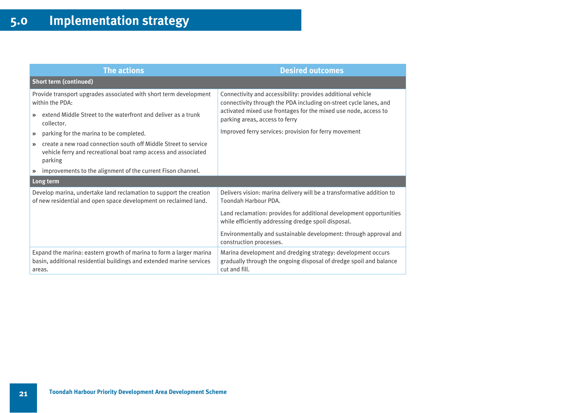| <b>The actions</b>                                                                                                                                            | <b>Desired outcomes</b>                                                                                                                                                                                                               |  |
|---------------------------------------------------------------------------------------------------------------------------------------------------------------|---------------------------------------------------------------------------------------------------------------------------------------------------------------------------------------------------------------------------------------|--|
| <b>Short term (continued)</b>                                                                                                                                 |                                                                                                                                                                                                                                       |  |
| Provide transport upgrades associated with short term development<br>within the PDA:                                                                          | Connectivity and accessibility: provides additional vehicle<br>connectivity through the PDA including on-street cycle lanes, and<br>activated mixed use frontages for the mixed use node, access to<br>parking areas, access to ferry |  |
| extend Middle Street to the waterfront and deliver as a trunk<br>collector.                                                                                   |                                                                                                                                                                                                                                       |  |
| parking for the marina to be completed.<br>$\boldsymbol{\mathcal{Y}}$                                                                                         | Improved ferry services: provision for ferry movement                                                                                                                                                                                 |  |
| create a new road connection south off Middle Street to service<br>$\rightarrow$<br>vehicle ferry and recreational boat ramp access and associated<br>parking |                                                                                                                                                                                                                                       |  |
| improvements to the alignment of the current Fison channel.<br>$\rightarrow$                                                                                  |                                                                                                                                                                                                                                       |  |
| Long term                                                                                                                                                     |                                                                                                                                                                                                                                       |  |
| Develop marina, undertake land reclamation to support the creation<br>of new residential and open space development on reclaimed land.                        | Delivers vision: marina delivery will be a transformative addition to<br>Toondah Harbour PDA.                                                                                                                                         |  |
|                                                                                                                                                               | Land reclamation: provides for additional development opportunities<br>while efficiently addressing dredge spoil disposal.                                                                                                            |  |
|                                                                                                                                                               | Environmentally and sustainable development: through approval and<br>construction processes.                                                                                                                                          |  |
| Expand the marina: eastern growth of marina to form a larger marina<br>basin, additional residential buildings and extended marine services<br>areas.         | Marina development and dredging strategy: development occurs<br>gradually through the ongoing disposal of dredge spoil and balance<br>cut and fill.                                                                                   |  |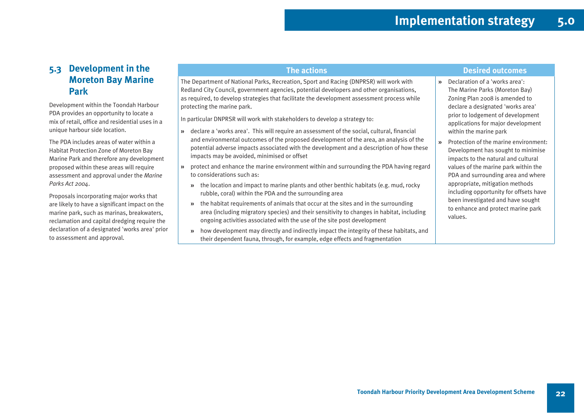# **5.3 Development in the Moreton Bay Marine Park**

Development within the Toondah Harbour PDA provides an opportunity to locate a mix of retail, office and residential uses in a unique harbour side location.

The PDA includes areas of water within a Habitat Protection Zone of Moreton Bay Marine Park and therefore any development proposed within these areas will require assessment and approval under the *Marine Parks Act 2004*.

Proposals incorporating major works that are likely to have a significant impact on the marine park, such as marinas, breakwaters, reclamation and capital dredging require the declaration of a designated 'works area' prior to assessment and approval.

The Department of National Parks, Recreation, Sport and Racing (DNPRSR) will work with Redland City Council, government agencies, potential developers and other organisations, as required, to develop strategies that facilitate the development assessment process while protecting the marine park.

In particular DNPRSR will work with stakeholders to develop a strategy to:

- **È** declare a 'works area'. This will require an assessment of the social, cultural, financial and environmental outcomes of the proposed development of the area, an analysis of the potential adverse impacts associated with the development and a description of how these impacts may be avoided, minimised or offset
- $\lambda$  protect and enhance the marine environment within and surrounding the PDA having regard to considerations such as:
	- **È** the location and impact to marine plants and other benthic habitats (e.g. mud, rocky rubble, coral) within the PDA and the surrounding area
	- **E** the habitat requirements of animals that occur at the sites and in the surrounding area (including migratory species) and their sensitivity to changes in habitat, including ongoing activities associated with the use of the site post development
	- **È** how development may directly and indirectly impact the integrity of these habitats, and their dependent fauna, through, for example, edge effects and fragmentation

# **The actions Desired outcomes**

- **È** Declaration of a 'works area': The Marine Parks (Moreton Bay) Zoning Plan 2008 is amended to declare a designated 'works area' prior to lodgement of development applications for major development within the marine park
- **È** Protection of the marine environment: Development has sought to minimise impacts to the natural and cultural values of the marine park within the PDA and surrounding area and where appropriate, mitigation methods including opportunity for offsets have been investigated and have sought to enhance and protect marine park values.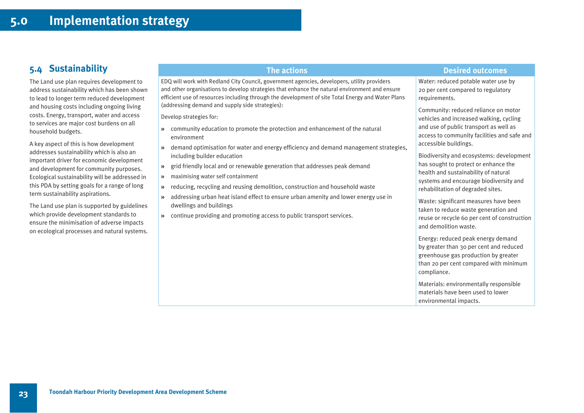# **5.4 Sustainability**

The Land use plan requires development to address sustainability which has been shown to lead to longer term reduced development and housing costs including ongoing living costs. Energy, transport, water and access to services are major cost burdens on all household budgets.

A key aspect of this is how development addresses sustainability which is also an important driver for economic development and development for community purposes. Ecological sustainability will be addressed in this PDA by setting goals for a range of long term sustainability aspirations.

The Land use plan is supported by guidelines which provide development standards to ensure the minimisation of adverse impacts on ecological processes and natural systems.

EDQ will work with Redland City Council, government agencies, developers, utility providers and other organisations to develop strategies that enhance the natural environment and ensure efficient use of resources including through the development of site Total Energy and Water Plans (addressing demand and supply side strategies):

Develop strategies for:

- **È** community education to promote the protection and enhancement of the natural environment
- **»** demand optimisation for water and energy efficiency and demand management strategies, including builder education
- $\lambda$ grid friendly local and or renewable generation that addresses peak demand
- **È** maximising water self containment
- **È** reducing, recycling and reusing demolition, construction and household waste
- **È** addressing urban heat island effect to ensure urban amenity and lower energy use in dwellings and buildings
- **È** continue providing and promoting access to public transport services.

# **The actions Desired outcomes**

Water: reduced potable water use by 20 per cent compared to regulatory requirements.

Community: reduced reliance on motor vehicles and increased walking, cycling and use of public transport as well as access to community facilities and safe and accessible buildings.

Biodiversity and ecosystems: development has sought to protect or enhance the health and sustainability of natural systems and encourage biodiversity and rehabilitation of degraded sites.

Waste: significant measures have been taken to reduce waste generation and reuse or recycle 60 per cent of construction and demolition waste.

Energy: reduced peak energy demand by greater than 30 per cent and reduced greenhouse gas production by greater than 20 per cent compared with minimum compliance.

Materials: environmentally responsible materials have been used to lower environmental impacts.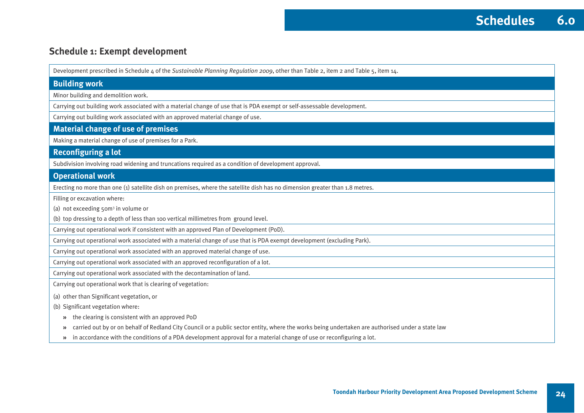# **Schedule 1: Exempt development**

| Development prescribed in Schedule 4 of the Sustainable Planning Regulation 2009, other than Table 2, item 2 and Table 5, item 14.               |
|--------------------------------------------------------------------------------------------------------------------------------------------------|
| <b>Building work</b>                                                                                                                             |
| Minor building and demolition work.                                                                                                              |
| Carrying out building work associated with a material change of use that is PDA exempt or self-assessable development.                           |
| Carrying out building work associated with an approved material change of use.                                                                   |
| <b>Material change of use of premises</b>                                                                                                        |
| Making a material change of use of premises for a Park.                                                                                          |
| <b>Reconfiguring a lot</b>                                                                                                                       |
| Subdivision involving road widening and truncations required as a condition of development approval.                                             |
| <b>Operational work</b>                                                                                                                          |
| Erecting no more than one (1) satellite dish on premises, where the satellite dish has no dimension greater than 1.8 metres.                     |
| Filling or excavation where:                                                                                                                     |
| (a) not exceeding $503$ in volume or                                                                                                             |
| (b) top dressing to a depth of less than 100 vertical millimetres from ground level.                                                             |
| Carrying out operational work if consistent with an approved Plan of Development (PoD).                                                          |
| Carrying out operational work associated with a material change of use that is PDA exempt development (excluding Park).                          |
| Carrying out operational work associated with an approved material change of use.                                                                |
| Carrying out operational work associated with an approved reconfiguration of a lot.                                                              |
| Carrying out operational work associated with the decontamination of land.                                                                       |
| Carrying out operational work that is clearing of vegetation:                                                                                    |
| (a) other than Significant vegetation, or                                                                                                        |
| (b) Significant vegetation where:                                                                                                                |
| the clearing is consistent with an approved PoD<br>$\lambda$                                                                                     |
| carried out by or on behalf of Redland City Council or a public sector entity, where the works being undertaken are authorised under a state law |
| in accordance with the conditions of a PDA development approval for a material change of use or reconfiguring a lot.<br>»                        |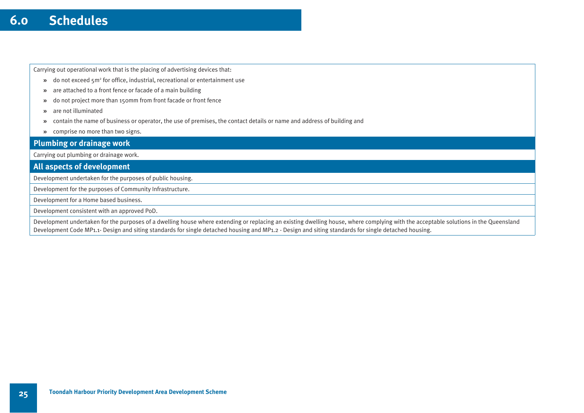#### **6.0Schedules**

Carrying out operational work that is the placing of advertising devices that:

- **»** do not exceed 5m<sup>2</sup> for office, industrial, recreational or entertainment use
- **»** are attached to a front fence or facade of a main building
- **»** do not project more than 150mm from front facade or front fence
- $\lambda$ are not illuminated
- $\lambda$ contain the name of business or operator, the use of premises, the contact details or name and address of building and
- **È** comprise no more than two signs.

**Plumbing or drainage work**

Carrying out plumbing or drainage work.

**All aspects of development**

Development undertaken for the purposes of public housing.

Development for the purposes of Community Infrastructure.

Development for a Home based business.

Development consistent with an approved PoD.

Development undertaken for the purposes of a dwelling house where extending or replacing an existing dwelling house, where complying with the acceptable solutions in the Queensland Development Code MP1.1- Design and siting standards for single detached housing and MP1.2 - Design and siting standards for single detached housing.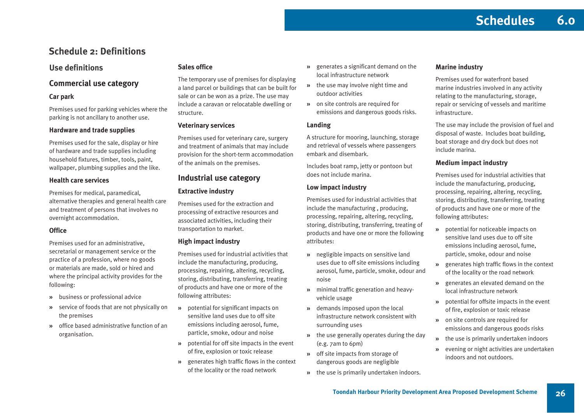# **Schedule 2: Definitions**

# **Use definitions**

# **Commercial use category**

# **Car park**

Premises used for parking vehicles where the parking is not ancillary to another use.

# **Hardware and trade supplies**

Premises used for the sale, display or hire of hardware and trade supplies including household fixtures, timber, tools, paint, wallpaper, plumbing supplies and the like.

# **Health care services**

Premises for medical, paramedical, alternative therapies and general health care and treatment of persons that involves no overnight accommodation.

# **Office**

Premises used for an administrative, secretarial or management service or the practice of a profession, where no goods or materials are made, sold or hired and where the principal activity provides for the following:

- **È** business or professional advice
- **È** service of foods that are not physically on the premises
- **»** office based administrative function of an organisation.

# **Sales office**

The temporary use of premises for displaying a land parcel or buildings that can be built for sale or can be won as a prize. The use may include a caravan or relocatable dwelling or structure.

# **Veterinary services**

Premises used for veterinary care, surgery and treatment of animals that may include provision for the short-term accommodation of the animals on the premises.

# **Industrial use category**

# **Extractive industry**

Premises used for the extraction and processing of extractive resources and associated activities, including their transportation to market.

# **High impact industry**

Premises used for industrial activities that include the manufacturing, producing, processing, repairing, altering, recycling, storing, distributing, transferring, treating of products and have one or more of the following attributes:

- **È** potential for significant impacts on sensitive land uses due to off site emissions including aerosol, fume, particle, smoke, odour and noise
- **È** potential for off site impacts in the event of fire, explosion or toxic release
- **È** generates high traffic flows in the context of the locality or the road network
- $\lambda$  generates a significant demand on the local infrastructure network
- **»** the use may involve night time and outdoor activities
- **È** on site controls are required for emissions and dangerous goods risks.

# **Landing**

A structure for mooring, launching, storage and retrieval of vessels where passengers embark and disembark.

Includes boat ramp, jetty or pontoon but does not include marina.

# **Low impact industry**

Premises used for industrial activities that include the manufacturing , producing, processing, repairing, altering, recycling, storing, distributing, transferring, treating of products and have one or more the following attributes:

- **È** negligible impacts on sensitive land uses due to off site emissions including aerosol, fume, particle, smoke, odour and noise
- **È** minimal traffic generation and heavyvehicle usage
- **È** demands imposed upon the local infrastructure network consistent with surrounding uses
- **»** the use generally operates during the day (e.g. 7am to 6pm)
- **È** off site impacts from storage of dangerous goods are negligible
- **»** the use is primarily undertaken indoors.

# **Marine industry**

Premises used for waterfront based marine industries involved in any activity relating to the manufacturing, storage, repair or servicing of vessels and maritime infrastructure.

The use may include the provision of fuel and disposal of waste. Includes boat building, boat storage and dry dock but does not include marina.

# **Medium impact industry**

Premises used for industrial activities that include the manufacturing, producing, processing, repairing, altering, recycling, storing, distributing, transferring, treating of products and have one or more of the following attributes:

- **È** potential for noticeable impacts on sensitive land uses due to off site emissions including aerosol, fume, particle, smoke, odour and noise
- **È** generates high traffic flows in the context of the locality or the road network
- **»** generates an elevated demand on the local infrastructure network
- **È** potential for offsite impacts in the event of fire, explosion or toxic release
- **È** on site controls are required for emissions and dangerous goods risks
- **»** the use is primarily undertaken indoors
- **È** evening or night activities are undertaken indoors and not outdoors.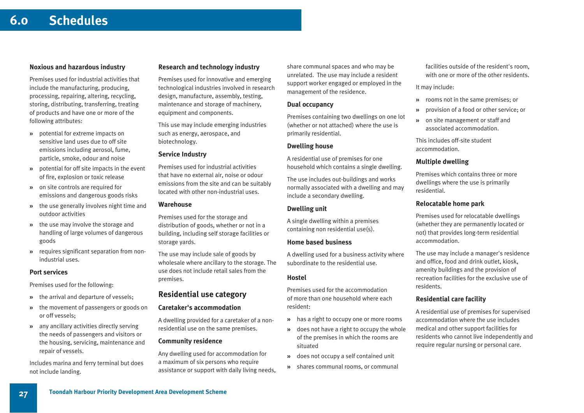#### **6.0Schedules**

#### **Noxious and hazardous industry**

Premises used for industrial activities that include the manufacturing, producing, processing, repairing, altering, recycling, storing, distributing, transferring, treating of products and have one or more of the following attributes:

- **È** potential for extreme impacts on sensitive land uses due to off site emissions including aerosol, fume, particle, smoke, odour and noise
- **È** potential for off site impacts in the event of fire, explosion or toxic release
- **È** on site controls are required for emissions and dangerous goods risks
- **È** the use generally involves night time and outdoor activities
- **»** the use may involve the storage and handling of large volumes of dangerous goods
- **È** requires significant separation from nonindustrial uses.

# **Port services**

Premises used for the following:

- **»** the arrival and departure of vessels;
- **È** the movement of passengers or goods on or off vessels;
- **È** any ancillary activities directly serving the needs of passengers and visitors or the housing, servicing, maintenance and repair of vessels.

Includes marina and ferry terminal but does not include landing.

# **Research and technology industry**

Premises used for innovative and emerging technological industries involved in research design, manufacture, assembly, testing, maintenance and storage of machinery, equipment and components.

This use may include emerging industries such as energy, aerospace, and biotechnology.

# **Service Industry**

Premises used for industrial activities that have no external air, noise or odour emissions from the site and can be suitably located with other non-industrial uses.

#### **Warehouse**

Premises used for the storage and distribution of goods, whether or not in a building, including self storage facilities or storage yards.

The use may include sale of goods by wholesale where ancillary to the storage. The use does not include retail sales from the premises.

# **Residential use category**

# **Caretaker's accommodation**

A dwelling provided for a caretaker of a nonresidential use on the same premises.

# **Community residence**

Any dwelling used for accommodation for a maximum of six persons who require assistance or support with daily living needs, share communal spaces and who may be unrelated. The use may include a resident support worker engaged or employed in the management of the residence.

# **Dual occupancy**

Premises containing two dwellings on one lot (whether or not attached) where the use is primarily residential.

# **Dwelling house**

A residential use of premises for one household which contains a single dwelling.

The use includes out-buildings and works normally associated with a dwelling and may include a secondary dwelling.

# **Dwelling unit**

A single dwelling within a premises containing non residential use(s).

# **Home based business**

A dwelling used for a business activity where subordinate to the residential use.

# **Hostel**

Premises used for the accommodation of more than one household where each resident:

- **È** has a right to occupy one or more rooms
- **E** does not have a right to occupy the whole of the premises in which the rooms are situated
- **È** does not occupy a self contained unit
- **È** shares communal rooms, or communal

facilities outside of the resident's room, with one or more of the other residents.

#### It may include:

- **È** rooms not in the same premises; or
- $\lambda$ provision of a food or other service; or
- $\lambda$  on site management or staff and associated accommodation.

This includes off-site student accommodation.

# **Multiple dwelling**

Premises which contains three or more dwellings where the use is primarily residential.

# **Relocatable home park**

Premises used for relocatable dwellings (whether they are permanently located or not) that provides long-term residential accommodation.

The use may include a manager's residence and office, food and drink outlet, kiosk, amenity buildings and the provision of recreation facilities for the exclusive use of residents.

# **Residential care facility**

A residential use of premises for supervised accommodation where the use includes medical and other support facilities for residents who cannot live independently and require regular nursing or personal care.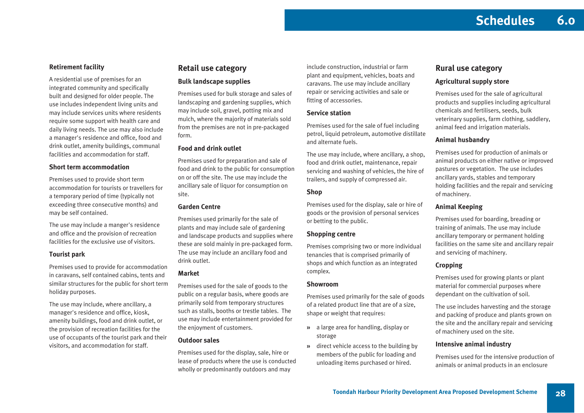# **Retirement facility**

A residential use of premises for an integrated community and specifically built and designed for older people. The use includes independent living units and may include services units where residents require some support with health care and daily living needs. The use may also include a manager's residence and office, food and drink outlet, amenity buildings, communal facilities and accommodation for staff.

# **Short term accommodation**

Premises used to provide short term accommodation for tourists or travellers for a temporary period of time (typically not exceeding three consecutive months) and may be self contained.

The use may include a manger's residence and office and the provision of recreation facilities for the exclusive use of visitors.

# **Tourist park**

Premises used to provide for accommodation in caravans, self contained cabins, tents and similar structures for the public for short term holiday purposes.

The use may include, where ancillary, a manager's residence and office, kiosk, amenity buildings, food and drink outlet, or the provision of recreation facilities for the use of occupants of the tourist park and their visitors, and accommodation for staff.

# **Retail use category**

# **Bulk landscape supplies**

Premises used for bulk storage and sales of landscaping and gardening supplies, which may include soil, gravel, potting mix and mulch, where the majority of materials sold from the premises are not in pre-packaged form.

# **Food and drink outlet**

Premises used for preparation and sale of food and drink to the public for consumption on or off the site. The use may include the ancillary sale of liquor for consumption on site.

# **Garden Centre**

Premises used primarily for the sale of plants and may include sale of gardening and landscape products and supplies where these are sold mainly in pre-packaged form. The use may include an ancillary food and drink outlet.

# **Market**

Premises used for the sale of goods to the public on a regular basis, where goods are primarily sold from temporary structures such as stalls, booths or trestle tables. The use may include entertainment provided for the enjoyment of customers.

# **Outdoor sales**

Premises used for the display, sale, hire or lease of products where the use is conducted wholly or predominantly outdoors and may

include construction, industrial or farm plant and equipment, vehicles, boats and caravans. The use may include ancillary repair or servicing activities and sale or fitting of accessories.

# **Service station**

Premises used for the sale of fuel including petrol, liquid petroleum, automotive distillate and alternate fuels.

The use may include, where ancillary, a shop, food and drink outlet, maintenance, repair servicing and washing of vehicles, the hire of trailers, and supply of compressed air.

# **Shop**

Premises used for the display, sale or hire of goods or the provision of personal services or betting to the public.

# **Shopping centre**

Premises comprising two or more individual tenancies that is comprised primarily of shops and which function as an integrated complex.

# **Showroom**

Premises used primarily for the sale of goods of a related product line that are of a size, shape or weight that requires:

- **»** a large area for handling, display or storage
- $\lambda$  direct vehicle access to the building by members of the public for loading and unloading items purchased or hired.

# **Rural use category**

# **Agricultural supply store**

Premises used for the sale of agricultural products and supplies including agricultural chemicals and fertilisers, seeds, bulk veterinary supplies, farm clothing, saddlery, animal feed and irrigation materials.

# **Animal husbandry**

Premises used for production of animals or animal products on either native or improved pastures or vegetation. The use includes ancillary yards, stables and temporary holding facilities and the repair and servicing of machinery.

# **Animal Keeping**

Premises used for boarding, breading or training of animals. The use may include ancillary temporary or permanent holding facilities on the same site and ancillary repair and servicing of machinery.

# **Cropping**

Premises used for growing plants or plant material for commercial purposes where dependant on the cultivation of soil.

The use includes harvesting and the storage and packing of produce and plants grown on the site and the ancillary repair and servicing of machinery used on the site.

# **Intensive animal industry**

Premises used for the intensive production of animals or animal products in an enclosure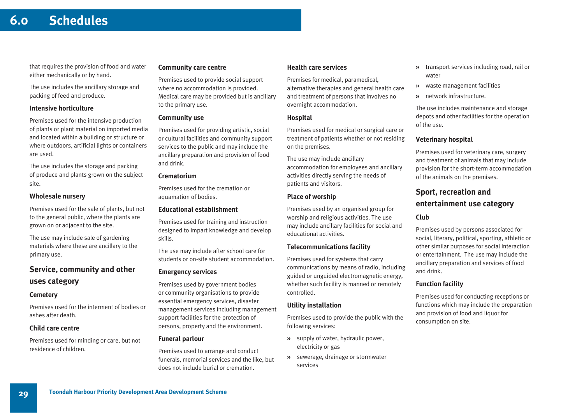#### **6.0Schedules**

that requires the provision of food and water either mechanically or by hand.

The use includes the ancillary storage and packing of feed and produce.

# **Intensive horticulture**

Premises used for the intensive production of plants or plant material on imported media and located within a building or structure or where outdoors, artificial lights or containers are used.

The use includes the storage and packing of produce and plants grown on the subject site.

# **Wholesale nursery**

Premises used for the sale of plants, but not to the general public, where the plants are grown on or adjacent to the site.

The use may include sale of gardening materials where these are ancillary to the primary use.

# **Service, community and other uses category**

# **Cemetery**

Premises used for the interment of bodies or ashes after death.

# **Child care centre**

Premises used for minding or care, but not residence of children.

# **Community care centre**

Premises used to provide social support where no accommodation is provided. Medical care may be provided but is ancillary to the primary use.

## **Community use**

Premises used for providing artistic, social or cultural facilities and community support services to the public and may include the ancillary preparation and provision of food and drink.

#### **Crematorium**

Premises used for the cremation or aquamation of bodies.

## **Educational establishment**

Premises used for training and instruction designed to impart knowledge and develop skills.

The use may include after school care for students or on-site student accommodation.

# **Emergency services**

Premises used by government bodies or community organisations to provide essential emergency services, disaster management services including management support facilities for the protection of persons, property and the environment.

#### **Funeral parlour**

Premises used to arrange and conduct funerals, memorial services and the like, but does not include burial or cremation.

## **Health care services**

Premises for medical, paramedical, alternative therapies and general health care and treatment of persons that involves no overnight accommodation.

# **Hospital**

Premises used for medical or surgical care or treatment of patients whether or not residing on the premises.

The use may include ancillary accommodation for employees and ancillary activities directly serving the needs of patients and visitors.

# **Place of worship**

Premises used by an organised group for worship and religious activities. The use may include ancillary facilities for social and educational activities.

# **Telecommunications facility**

Premises used for systems that carry communications by means of radio, including guided or unguided electromagnetic energy, whether such facility is manned or remotely controlled.

# **Utility installation**

Premises used to provide the public with the following services:

- **È** supply of water, hydraulic power, electricity or gas
- **»** sewerage, drainage or stormwater services
- **È** transport services including road, rail or water
- $\lambda$ waste management facilities
- **È** network infrastructure.

The use includes maintenance and storage depots and other facilities for the operation of the use.

# **Veterinary hospital**

Premises used for veterinary care, surgery and treatment of animals that may include provision for the short-term accommodation of the animals on the premises.

# **Sport, recreation and entertainment use category**

# **Club**

Premises used by persons associated for social, literary, political, sporting, athletic or other similar purposes for social interaction or entertainment. The use may include the ancillary preparation and services of food and drink.

# **Function facility**

Premises used for conducting receptions or functions which may include the preparation and provision of food and liquor for consumption on site.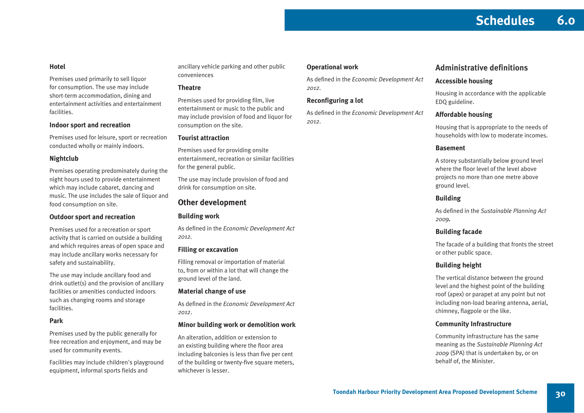# **Hotel**

Premises used primarily to sell liquor for consumption. The use may include short-term accommodation, dining and entertainment activities and entertainment facilities.

# **Indoor sport and recreation**

Premises used for leisure, sport or recreation conducted wholly or mainly indoors.

# **Nightclub**

Premises operating predominately during the night hours used to provide entertainment which may include cabaret, dancing and music. The use includes the sale of liquor and food consumption on site.

# **Outdoor sport and recreation**

Premises used for a recreation or sport activity that is carried on outside a building and which requires areas of open space and may include ancillary works necessary for safety and sustainability.

The use may include ancillary food and drink outlet(s) and the provision of ancillary facilities or amenities conducted indoors such as changing rooms and storage facilities.

# **Park**

Premises used by the public generally for free recreation and enjoyment, and may be used for community events.

Facilities may include children's playground equipment, informal sports fields and

ancillary vehicle parking and other public conveniences

# **Theatre**

Premises used for providing film, live entertainment or music to the public and may include provision of food and liquor for consumption on the site.

# **Tourist attraction**

Premises used for providing onsite entertainment, recreation or similar facilities for the general public.

The use may include provision of food and drink for consumption on site.

# **Other development**

# **Building work**

As defined in the *Economic Development Act 2012.* 

# **Filling or excavation**

Filling removal or importation of material to, from or within a lot that will change the ground level of the land.

# **Material change of use**

As defined in the *Economic Development Act 2012*.

# **Minor building work or demolition work**

An alteration, addition or extension to an existing building where the floor area including balconies is less than five per cent of the building or twenty-five square meters, whichever is lesser.

#### **Operational work**

As defined in the *Economic Development Act 2012*.

# **Reconfiguring a lot**

As defined in the *Economic Development Act 2012*.

# **Administrative definitions**

## **Accessible housing**

Housing in accordance with the applicable EDQ guideline.

#### **Affordable housing**

Housing that is appropriate to the needs of households with low to moderate incomes.

#### **Basement**

A storey substantially below ground level where the floor level of the level above projects no more than one metre above ground level.

## **Building**

As defined in the *Sustainable Planning Act 2009.* 

# **Building facade**

The facade of a building that fronts the street or other public space.

# **Building height**

The vertical distance between the ground level and the highest point of the building roof (apex) or parapet at any point but not including non-load bearing antenna, aerial, chimney, flagpole or the like.

# **Community Infrastructure**

Community infrastructure has the same meaning as the *Sustainable Planning Act 2009* (SPA) that is undertaken by, or on behalf of, the Minister.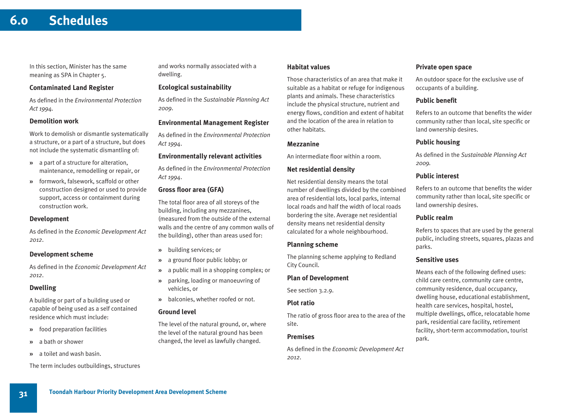#### **6.0Schedules**

In this section, Minister has the same meaning as SPA in Chapter 5.

# **Contaminated Land Register**

As defined in the *Environmental Protection Act 1994.*

# **Demolition work**

Work to demolish or dismantle systematically a structure, or a part of a structure, but does not include the systematic dismantling of:

- **È** a part of a structure for alteration, maintenance, remodelling or repair, or
- **È** formwork, falsework, scaffold or other construction designed or used to provide support, access or containment during construction work.

# **Development**

As defined in the *Economic Development Act 2012*.

# **Development scheme**

As defined in the *Economic Development Act 2012*.

# **Dwelling**

A building or part of a building used or capable of being used as a self contained residence which must include:

- **È** food preparation facilities
- $\lambda$ a bath or shower
- **E** a toilet and wash basin.

The term includes outbuildings, structures

and works normally associated with a dwelling.

# **Ecological sustainability**

As defined in the *Sustainable Planning Act 2009*.

# **Environmental Management Register**

As defined in the *Environmental Protection Act 1994*.

# **Environmentally relevant activities**

As defined in the *Environmental Protection Act 1994*.

# **Gross floor area (GFA)**

The total floor area of all storeys of the building, including any mezzanines, (measured from the outside of the external walls and the centre of any common walls of the building), other than areas used for:

- **»** building services; or
- **»** a ground floor public lobby; or
- **È** a public mall in a shopping complex; or
- **È** parking, loading or manoeuvring of vehicles, or
- **»** balconies, whether roofed or not.

# **Ground level**

The level of the natural ground, or, where the level of the natural ground has been changed, the level as lawfully changed.

# **Habitat values**

Those characteristics of an area that make it suitable as a habitat or refuge for indigenous plants and animals. These characteristics include the physical structure, nutrient and energy flows, condition and extent of habitat and the location of the area in relation to other habitats.

# **Mezzanine**

An intermediate floor within a room.

# **Net residential density**

Net residential density means the total number of dwellings divided by the combined area of residential lots, local parks, internal local roads and half the width of local roads bordering the site. Average net residential density means net residential density calculated for a whole neighbourhood.

# **Planning scheme**

The planning scheme applying to Redland City Council.

# **Plan of Development**

See section 3.2.9.

# **Plot ratio**

The ratio of gross floor area to the area of the site.

# **Premises**

As defined in the *Economic Development Act 2012*.

# **Private open space**

An outdoor space for the exclusive use of occupants of a building.

# **Public benefit**

Refers to an outcome that benefits the wider community rather than local, site specific or land ownership desires.

# **Public housing**

As defined in the *Sustainable Planning Act 2009.*

# **Public interest**

Refers to an outcome that benefits the wider community rather than local, site specific or land ownership desires.

# **Public realm**

Refers to spaces that are used by the general public, including streets, squares, plazas and parks.

# **Sensitive uses**

Means each of the following defined uses: child care centre, community care centre, community residence, dual occupancy, dwelling house, educational establishment, health care services, hospital, hostel, multiple dwellings, office, relocatable home park, residential care facility, retirement facility, short-term accommodation, tourist park.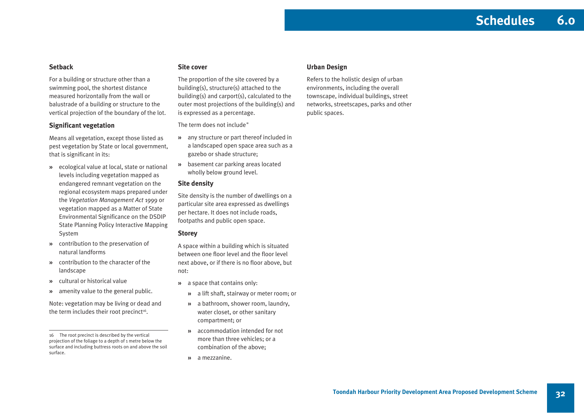# **Setback**

For a building or structure other than a swimming pool, the shortest distance measured horizontally from the wall or balustrade of a building or structure to the vertical projection of the boundary of the lot.

# **Significant vegetation**

Means all vegetation, except those listed as pest vegetation by State or local government, that is significant in its:

- **È** ecological value at local, state or national levels including vegetation mapped as endangered remnant vegetation on the regional ecosystem maps prepared under the *Vegetation Management Act* 1999 or vegetation mapped as a Matter of State Environmental Significance on the DSDIP State Planning Policy Interactive Mapping System
- **È** contribution to the preservation of natural landforms
- **È** contribution to the character of the landscape
- **È**cultural or historical value
- **»** amenity value to the general public.

Note: vegetation may be living or dead and the term includes their root precinct<sup>16</sup>.

#### **Site cover**

The proportion of the site covered by a building(s), structure(s) attached to the building(s) and carport(s), calculated to the outer most projections of the building(s) and is expressed as a percentage.

The term does not include"

- **È** any structure or part thereof included in a landscaped open space area such as a gazebo or shade structure;
- **»** basement car parking areas located wholly below ground level.

# **Site density**

Site density is the number of dwellings on a particular site area expressed as dwellings per hectare. It does not include roads, footpaths and public open space.

# **Storey**

A space within a building which is situated between one floor level and the floor level next above, or if there is no floor above, but not:

- **»** a space that contains only:
	- **È** a lift shaft, stairway or meter room; or
	- **È** a bathroom, shower room, laundry, water closet, or other sanitary compartment; or
	- **È** accommodation intended for not more than three vehicles; or a combination of the above;
	- **È** a mezzanine.

# **Urban Design**

Refers to the holistic design of urban environments, including the overall townscape, individual buildings, street networks, streetscapes, parks and other public spaces.

<sup>16</sup> The root precinct is described by the vertical projection of the foliage to a depth of 1 metre below the surface and including buttress roots on and above the soil surface.